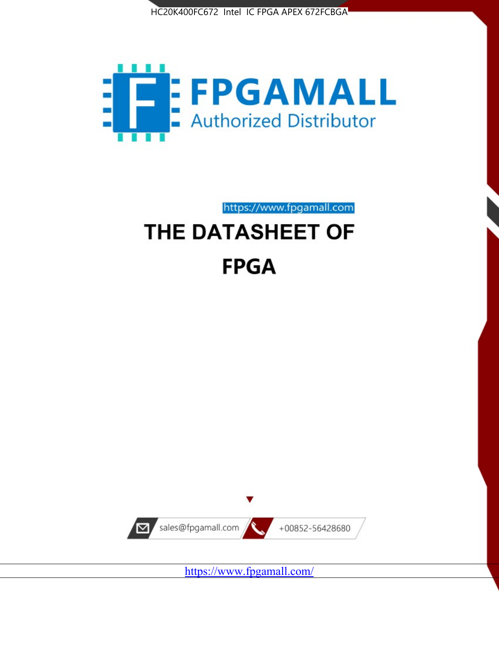



https://www.fpgamall.com

# THE DATASHEET OF **FPGA**



<https://www.fpgamall.com/>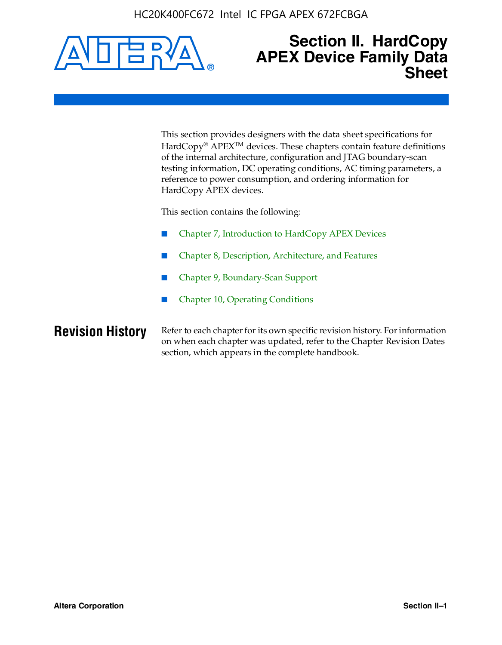HC20K400FC672 Intel IC FPGA APEX 672FCBGA



# **Section II. HardCopy APEX Device Family Data Sheet**

This section provides designers with the data sheet specifications for HardCopy<sup>®</sup> APEX<sup>™</sup> devices. These chapters contain feature definitions of the internal architecture, configuration and JTAG boundary-scan testing information, DC operating conditions, AC timing parameters, a reference to power consumption, and ordering information for HardCopy APEX devices.

This section contains the following:

- Chapter 7, Introduction to HardCopy APEX Devices
- Chapter 8, Description, Architecture, and Features
- Chapter 9, Boundary-Scan Support
- Chapter 10, Operating Conditions

**Revision History** Refer to each chapter for its own specific revision history. For information on when each chapter was updated, refer to the Chapter Revision Dates section, which appears in the complete handbook.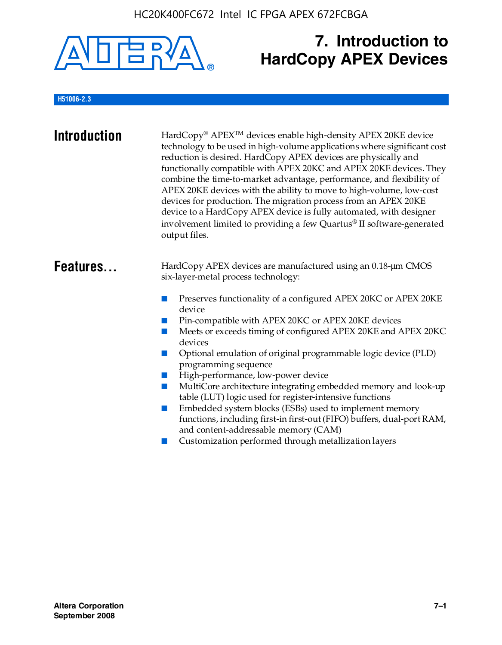

# **7. Introduction to HardCopy APEX Devices**

# **H51006-2.3**

| <b>Introduction</b> | HardCopy® APEX™ devices enable high-density APEX 20KE device<br>technology to be used in high-volume applications where significant cost<br>reduction is desired. HardCopy APEX devices are physically and<br>functionally compatible with APEX 20KC and APEX 20KE devices. They<br>combine the time-to-market advantage, performance, and flexibility of<br>APEX 20KE devices with the ability to move to high-volume, low-cost<br>devices for production. The migration process from an APEX 20KE<br>device to a HardCopy APEX device is fully automated, with designer<br>involvement limited to providing a few Quartus® II software-generated<br>output files.                                                                                                                                                |
|---------------------|--------------------------------------------------------------------------------------------------------------------------------------------------------------------------------------------------------------------------------------------------------------------------------------------------------------------------------------------------------------------------------------------------------------------------------------------------------------------------------------------------------------------------------------------------------------------------------------------------------------------------------------------------------------------------------------------------------------------------------------------------------------------------------------------------------------------|
| Features            | HardCopy APEX devices are manufactured using an 0.18-um CMOS<br>six-layer-metal process technology:<br>Preserves functionality of a configured APEX 20KC or APEX 20KE<br>device<br>Pin-compatible with APEX 20KC or APEX 20KE devices<br>Meets or exceeds timing of configured APEX 20KE and APEX 20KC<br>devices<br>Optional emulation of original programmable logic device (PLD)<br>programming sequence<br>High-performance, low-power device<br>MultiCore architecture integrating embedded memory and look-up<br>table (LUT) logic used for register-intensive functions<br>Embedded system blocks (ESBs) used to implement memory<br>functions, including first-in first-out (FIFO) buffers, dual-port RAM,<br>and content-addressable memory (CAM)<br>Customization performed through metallization layers |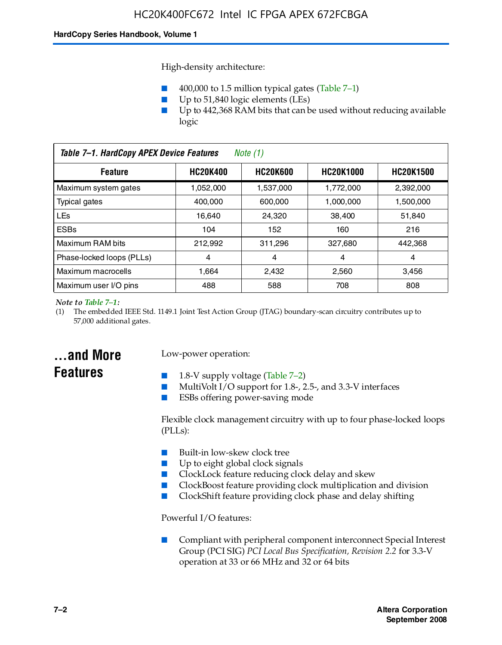High-density architecture:

- 400,000 to 1.5 million typical gates (Table 7–1)
- Up to 51,840 logic elements (LEs)
- Up to 442,368 RAM bits that can be used without reducing available logic

| Table 7-1. HardCopy APEX Device Features<br>Note $(1)$                                       |           |           |           |           |
|----------------------------------------------------------------------------------------------|-----------|-----------|-----------|-----------|
| <b>HC20K600</b><br><b>HC20K1000</b><br><b>HC20K400</b><br><b>HC20K1500</b><br><b>Feature</b> |           |           |           |           |
| Maximum system gates                                                                         | 1,052,000 | 1,537,000 | 1,772,000 | 2,392,000 |
| <b>Typical gates</b>                                                                         | 400.000   | 600,000   | 1.000.000 | 1,500,000 |
| <b>LEs</b>                                                                                   | 16.640    | 24.320    | 38.400    | 51,840    |
| <b>ESBs</b>                                                                                  | 104       | 152       | 160       | 216       |
| Maximum RAM bits                                                                             | 212.992   | 311,296   | 327.680   | 442,368   |
| Phase-locked loops (PLLs)                                                                    | 4         | 4         | 4         | 4         |
| Maximum macrocells                                                                           | 1.664     | 2,432     | 2,560     | 3,456     |
| Maximum user I/O pins                                                                        | 488       | 588       | 708       | 808       |

#### *Note to Table 7–1:*

(1) The embedded IEEE Std. 1149.1 Joint Test Action Group (JTAG) boundary-scan circuitry contributes up to 57,000 additional gates.

# **...and More Features**

# Low-power operation:

- 1.8-V supply voltage (Table  $7-2$ )
- MultiVolt I/O support for 1.8-, 2.5-, and 3.3-V interfaces
- ESBs offering power-saving mode

Flexible clock management circuitry with up to four phase-locked loops (PLLs):

- Built-in low-skew clock tree
- Up to eight global clock signals
- ClockLock feature reducing clock delay and skew
- ClockBoost feature providing clock multiplication and division
- ClockShift feature providing clock phase and delay shifting

Powerful I/O features:

■ Compliant with peripheral component interconnect Special Interest Group (PCI SIG) *PCI Local Bus Specification, Revision 2.2* for 3.3-V operation at 33 or 66 MHz and 32 or 64 bits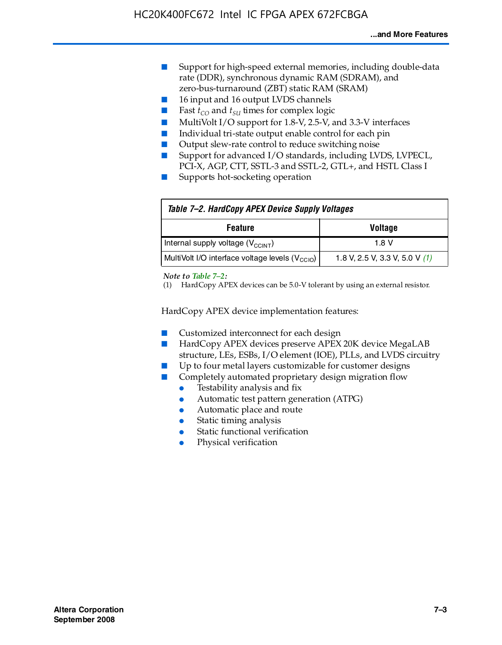- Support for high-speed external memories, including double-data rate (DDR), synchronous dynamic RAM (SDRAM), and zero-bus-turnaround (ZBT) static RAM (SRAM)
- 16 input and 16 output LVDS channels
- Fast  $t_{CO}$  and  $t_{SU}$  times for complex logic
- MultiVolt I/O support for 1.8-V, 2.5-V, and 3.3-V interfaces
- Individual tri-state output enable control for each pin
- Output slew-rate control to reduce switching noise
- Support for advanced I/O standards, including LVDS, LVPECL, PCI-X, AGP, CTT, SSTL-3 and SSTL-2, GTL+, and HSTL Class I
- Supports hot-socketing operation

| Table 7-2. HardCopy APEX Device Supply Voltages             |                                  |
|-------------------------------------------------------------|----------------------------------|
| <b>Voltage</b><br><b>Feature</b>                            |                                  |
| Internal supply voltage (V <sub>CCINT</sub> )               | 1.8 V                            |
| MultiVolt I/O interface voltage levels (V <sub>CCIO</sub> ) | 1.8 V, 2.5 V, 3.3 V, 5.0 V $(1)$ |

#### *Note to Table 7–2:*

(1) HardCopy APEX devices can be 5.0-V tolerant by using an external resistor.

HardCopy APEX device implementation features:

- Customized interconnect for each design
- HardCopy APEX devices preserve APEX 20K device MegaLAB structure, LEs, ESBs, I/O element (IOE), PLLs, and LVDS circuitry
- Up to four metal layers customizable for customer designs
- Completely automated proprietary design migration flow
	- Testability analysis and fix
	- Automatic test pattern generation (ATPG)
	- Automatic place and route
	- Static timing analysis
	- Static functional verification
	- Physical verification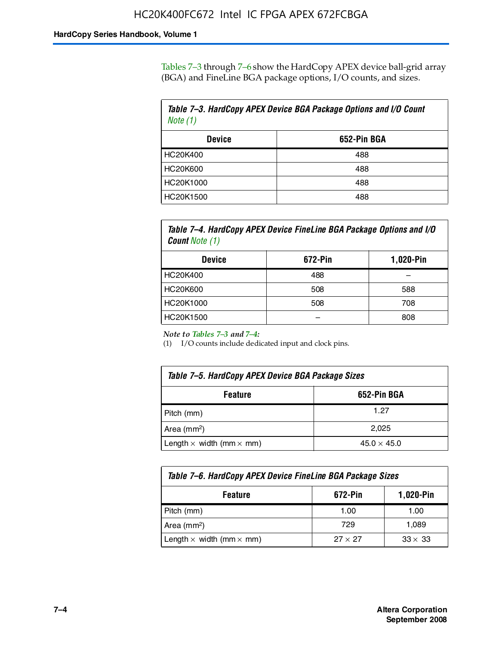Tables 7–3 through 7–6 show the HardCopy APEX device ball-grid array (BGA) and FineLine BGA package options, I/O counts, and sizes.

| Table 7-3. HardCopy APEX Device BGA Package Options and I/O Count<br>Note $(1)$ |             |  |
|---------------------------------------------------------------------------------|-------------|--|
| <b>Device</b>                                                                   | 652-Pin BGA |  |
| HC20K400                                                                        | 488         |  |
| HC20K600                                                                        | 488         |  |
| HC20K1000                                                                       | 488         |  |
| HC20K1500                                                                       | 488         |  |

*Table 7–4. HardCopy APEX Device FineLine BGA Package Options and I/O Count Note (1)*

| <b>Device</b>   | 672-Pin | 1,020-Pin |
|-----------------|---------|-----------|
| HC20K400        | 488     |           |
| <b>HC20K600</b> | 508     | 588       |
| HC20K1000       | 508     | 708       |
| HC20K1500       |         | 808       |

*Note to Tables 7–3 and 7–4:*

(1) I/O counts include dedicated input and clock pins.

| Table 7–5. HardCopy APEX Device BGA Package Sizes |                    |  |
|---------------------------------------------------|--------------------|--|
| 652-Pin BGA<br><b>Feature</b>                     |                    |  |
| Pitch (mm)                                        | 1.27               |  |
| Area (mm <sup>2</sup> )                           | 2.025              |  |
| Length $\times$ width (mm $\times$ mm)            | $45.0 \times 45.0$ |  |

| Table 7–6. HardCopy APEX Device FineLine BGA Package Sizes |                |                |  |
|------------------------------------------------------------|----------------|----------------|--|
| 672-Pin<br>1,020-Pin<br><b>Feature</b>                     |                |                |  |
| Pitch (mm)                                                 | 1.00           | 1.00           |  |
| Area ( $mm2$ )                                             | 729            | 1,089          |  |
| Length $\times$ width (mm $\times$ mm)                     | $27 \times 27$ | $33 \times 33$ |  |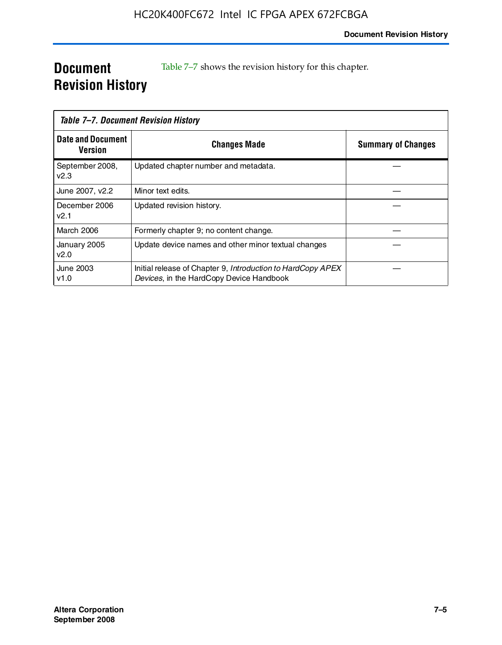# **Document Revision History**

Table 7–7 shows the revision history for this chapter.

|                                     | Table 7–7. Document Revision History                                                                    |                           |
|-------------------------------------|---------------------------------------------------------------------------------------------------------|---------------------------|
| <b>Date and Document</b><br>Version | <b>Changes Made</b>                                                                                     | <b>Summary of Changes</b> |
| September 2008,<br>V <sub>2.3</sub> | Updated chapter number and metadata.                                                                    |                           |
| June 2007, v2.2                     | Minor text edits.                                                                                       |                           |
| December 2006<br>v2.1               | Updated revision history.                                                                               |                           |
| March 2006                          | Formerly chapter 9; no content change.                                                                  |                           |
| January 2005<br>v2.0                | Update device names and other minor textual changes                                                     |                           |
| June 2003<br>v1.0                   | Initial release of Chapter 9, Introduction to HardCopy APEX<br>Devices, in the HardCopy Device Handbook |                           |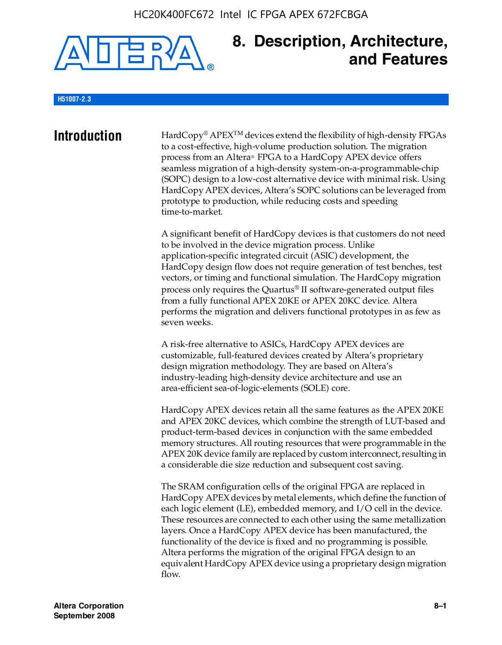

# **8. Description, Architecture, and Features**

#### **H51007-2.3**

**Introduction** HardCopy<sup>®</sup> APEX<sup>TM</sup> devices extend the flexibility of high-density FPGAs to a cost-effective, high-volume production solution. The migration process from an Altera® FPGA to a HardCopy APEX device offers seamless migration of a high-density system-on-a-programmable-chip (SOPC) design to a low-cost alternative device with minimal risk. Using HardCopy APEX devices, Altera's SOPC solutions can be leveraged from prototype to production, while reducing costs and speeding time-to-market.

> A significant benefit of HardCopy devices is that customers do not need to be involved in the device migration process. Unlike application-specific integrated circuit (ASIC) development, the HardCopy design flow does not require generation of test benches, test vectors, or timing and functional simulation. The HardCopy migration process only requires the Quartus® II software-generated output files from a fully functional APEX 20KE or APEX 20KC device. Altera performs the migration and delivers functional prototypes in as few as seven weeks.

A risk-free alternative to ASICs, HardCopy APEX devices are customizable, full-featured devices created by Altera's proprietary design migration methodology. They are based on Altera's industry-leading high-density device architecture and use an area-efficient sea-of-logic-elements (SOLE) core.

HardCopy APEX devices retain all the same features as the APEX 20KE and APEX 20KC devices, which combine the strength of LUT-based and product-term-based devices in conjunction with the same embedded memory structures. All routing resources that were programmable in the APEX 20K device family are replaced by custom interconnect, resulting in a considerable die size reduction and subsequent cost saving.

The SRAM configuration cells of the original FPGA are replaced in HardCopy APEX devices by metal elements, which define the function of each logic element (LE), embedded memory, and I/O cell in the device. These resources are connected to each other using the same metallization layers. Once a HardCopy APEX device has been manufactured, the functionality of the device is fixed and no programming is possible. Altera performs the migration of the original FPGA design to an equivalent HardCopy APEX device using a proprietary design migration flow.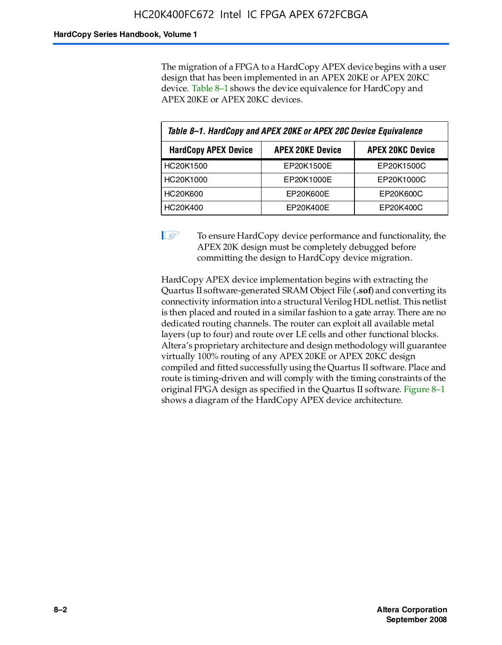The migration of a FPGA to a HardCopy APEX device begins with a user design that has been implemented in an APEX 20KE or APEX 20KC device. Table 8–1 shows the device equivalence for HardCopy and APEX 20KE or APEX 20KC devices.

| Table 8-1. HardCopy and APEX 20KE or APEX 20C Device Equivalence |                         |                         |  |
|------------------------------------------------------------------|-------------------------|-------------------------|--|
| <b>HardCopy APEX Device</b>                                      | <b>APEX 20KE Device</b> | <b>APEX 20KC Device</b> |  |
| HC20K1500                                                        | EP20K1500E              | EP20K1500C              |  |
| HC20K1000                                                        | EP20K1000E              | EP20K1000C              |  |
| HC20K600                                                         | EP20K600E               | EP20K600C               |  |
| HC20K400                                                         | EP20K400E               | EP20K400C               |  |

 $\mathbb{I}$  To ensure HardCopy device performance and functionality, the APEX 20K design must be completely debugged before committing the design to HardCopy device migration.

HardCopy APEX device implementation begins with extracting the Quartus II software-generated SRAM Object File (**.sof**) and converting its connectivity information into a structural Verilog HDL netlist. This netlist is then placed and routed in a similar fashion to a gate array. There are no dedicated routing channels. The router can exploit all available metal layers (up to four) and route over LE cells and other functional blocks. Altera's proprietary architecture and design methodology will guarantee virtually 100% routing of any APEX 20KE or APEX 20KC design compiled and fitted successfully using the Quartus II software. Place and route is timing-driven and will comply with the timing constraints of the original FPGA design as specified in the Quartus II software. Figure 8–1 shows a diagram of the HardCopy APEX device architecture.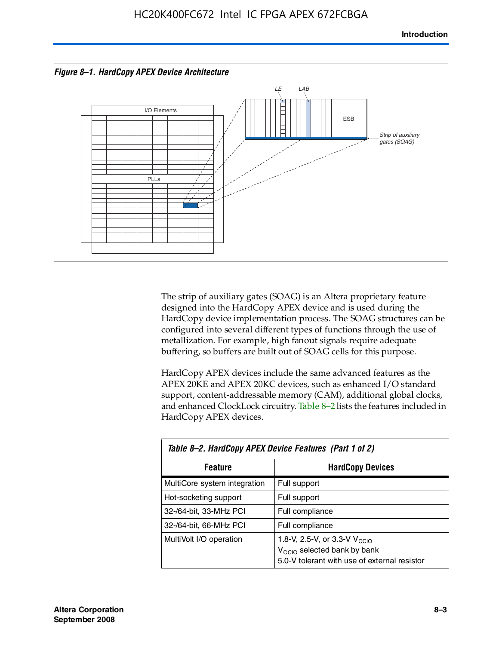



The strip of auxiliary gates (SOAG) is an Altera proprietary feature designed into the HardCopy APEX device and is used during the HardCopy device implementation process. The SOAG structures can be configured into several different types of functions through the use of metallization. For example, high fanout signals require adequate buffering, so buffers are built out of SOAG cells for this purpose.

HardCopy APEX devices include the same advanced features as the APEX 20KE and APEX 20KC devices, such as enhanced I/O standard support, content-addressable memory (CAM), additional global clocks, and enhanced ClockLock circuitry. Table 8–2 lists the features included in HardCopy APEX devices.

| Table 8–2. HardCopy APEX Device Features (Part 1 of 2) |                                                                                                                                     |  |  |
|--------------------------------------------------------|-------------------------------------------------------------------------------------------------------------------------------------|--|--|
| <b>Feature</b>                                         | <b>HardCopy Devices</b>                                                                                                             |  |  |
| MultiCore system integration                           | Full support                                                                                                                        |  |  |
| Hot-socketing support                                  | Full support                                                                                                                        |  |  |
| 32-/64-bit, 33-MHz PCI                                 | Full compliance                                                                                                                     |  |  |
| 32-/64-bit, 66-MHz PCI                                 | Full compliance                                                                                                                     |  |  |
| MultiVolt I/O operation                                | 1.8-V, 2.5-V, or 3.3-V $V_{\text{CCIO}}$<br>V <sub>CCIO</sub> selected bank by bank<br>5.0-V tolerant with use of external resistor |  |  |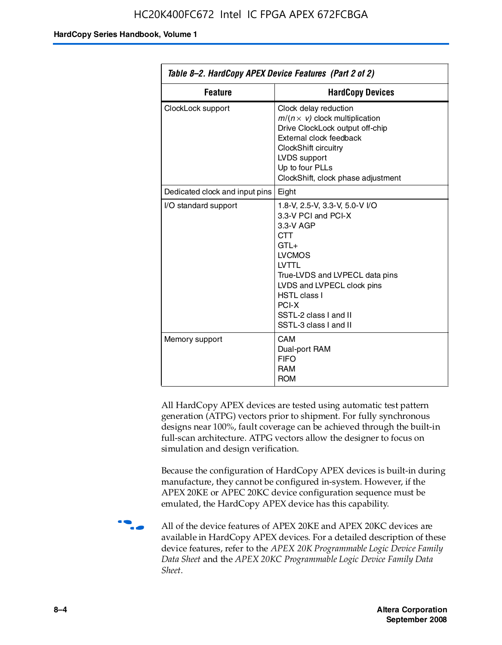| Table 8–2. HardCopy APEX Device Features (Part 2 of 2) |                                                                                                                                                                                                                                                                                |  |
|--------------------------------------------------------|--------------------------------------------------------------------------------------------------------------------------------------------------------------------------------------------------------------------------------------------------------------------------------|--|
| <b>Feature</b>                                         | <b>HardCopy Devices</b>                                                                                                                                                                                                                                                        |  |
| ClockLock support                                      | Clock delay reduction<br>$m/(n \times v)$ clock multiplication<br>Drive ClockLock output off-chip<br>External clock feedback<br>ClockShift circuitry<br>LVDS support<br>Up to four PLLs<br>ClockShift, clock phase adjustment                                                  |  |
| Dedicated clock and input pins                         | Eight                                                                                                                                                                                                                                                                          |  |
| I/O standard support                                   | 1.8-V, 2.5-V, 3.3-V, 5.0-V I/O<br>3.3-V PCI and PCI-X<br>3.3-V AGP<br><b>CTT</b><br>$GTI +$<br><b>LVCMOS</b><br><b>IVTTI</b><br>True-LVDS and LVPECL data pins<br>LVDS and LVPECL clock pins<br><b>HSTL class I</b><br>PCI-X<br>SSTL-2 class I and II<br>SSTL-3 class I and II |  |
| Memory support                                         | CAM<br>Dual-port RAM<br><b>FIFO</b><br><b>RAM</b><br><b>ROM</b>                                                                                                                                                                                                                |  |

All HardCopy APEX devices are tested using automatic test pattern generation (ATPG) vectors prior to shipment. For fully synchronous designs near 100%, fault coverage can be achieved through the built-in full-scan architecture. ATPG vectors allow the designer to focus on simulation and design verification.

Because the configuration of HardCopy APEX devices is built-in during manufacture, they cannot be configured in-system. However, if the APEX 20KE or APEC 20KC device configuration sequence must be emulated, the HardCopy APEX device has this capability.

**f all of the device features of APEX 20KE and APEX 20KC devices are** available in HardCopy APEX devices. For a detailed description of these device features, refer to the *APEX 20K Programmable Logic Device Family Data Sheet* and the *APEX 20KC Programmable Logic Device Family Data Sheet*.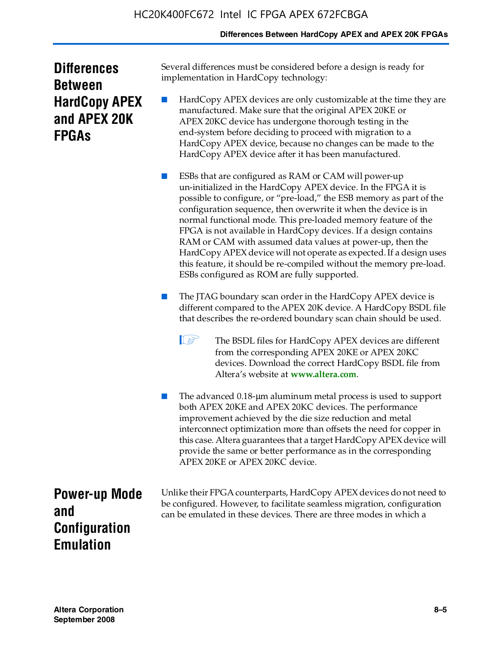# **Differences Between HardCopy APEX and APEX 20K FPGAs**

| <b>Differences</b>   |
|----------------------|
| <b>Between</b>       |
| <b>HardCopy APEX</b> |
| and APEX 20K         |
| <b>FPGAs</b>         |

Several differences must be considered before a design is ready for implementation in HardCopy technology:

HardCopy APEX devices are only customizable at the time they are manufactured. Make sure that the original APEX 20KE or APEX 20KC device has undergone thorough testing in the end-system before deciding to proceed with migration to a HardCopy APEX device, because no changes can be made to the HardCopy APEX device after it has been manufactured.

ESBs that are configured as RAM or CAM will power-up un-initialized in the HardCopy APEX device. In the FPGA it is possible to configure, or "pre-load," the ESB memory as part of the configuration sequence, then overwrite it when the device is in normal functional mode. This pre-loaded memory feature of the FPGA is not available in HardCopy devices. If a design contains RAM or CAM with assumed data values at power-up, then the HardCopy APEX device will not operate as expected. If a design uses this feature, it should be re-compiled without the memory pre-load. ESBs configured as ROM are fully supported.

- The JTAG boundary scan order in the HardCopy APEX device is different compared to the APEX 20K device. A HardCopy BSDL file that describes the re-ordered boundary scan chain should be used.
	- **1 The BSDL files for HardCopy APEX devices are different** from the corresponding APEX 20KE or APEX 20KC devices. Download the correct HardCopy BSDL file from Altera's website at **[www.altera.com](http://www.altera.com)**.

The advanced 0.18-μm aluminum metal process is used to support both APEX 20KE and APEX 20KC devices. The performance improvement achieved by the die size reduction and metal interconnect optimization more than offsets the need for copper in this case. Altera guarantees that a target HardCopy APEX device will provide the same or better performance as in the corresponding APEX 20KE or APEX 20KC device.

**Power-up Mode and Configuration Emulation**

Unlike their FPGA counterparts, HardCopy APEX devices do not need to be configured. However, to facilitate seamless migration, configuration can be emulated in these devices. There are three modes in which a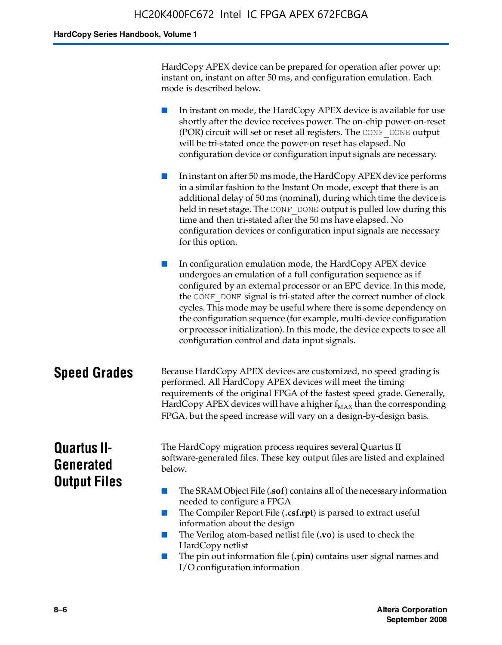HardCopy APEX device can be prepared for operation after power up: instant on, instant on after 50 ms, and configuration emulation. Each mode is described below.

■ In instant on mode, the HardCopy APEX device is available for use shortly after the device receives power. The on-chip power-on-reset (POR) circuit will set or reset all registers. The CONF\_DONE output will be tri-stated once the power-on reset has elapsed. No configuration device or configuration input signals are necessary.

In instant on after 50 ms mode, the HardCopy APEX device performs in a similar fashion to the Instant On mode, except that there is an additional delay of 50 ms (nominal), during which time the device is held in reset stage. The CONF DONE output is pulled low during this time and then tri-stated after the 50 ms have elapsed. No configuration devices or configuration input signals are necessary for this option.

In configuration emulation mode, the HardCopy APEX device undergoes an emulation of a full configuration sequence as if configured by an external processor or an EPC device. In this mode, the CONF\_DONE signal is tri-stated after the correct number of clock cycles. This mode may be useful where there is some dependency on the configuration sequence (for example, multi-device configuration or processor initialization). In this mode, the device expects to see all configuration control and data input signals.

# **Speed Grades** Because HardCopy APEX devices are customized, no speed grading is performed. All HardCopy APEX devices will meet the timing requirements of the original FPGA of the fastest speed grade. Generally, HardCopy APEX devices will have a higher  $f_{MAX}$  than the corresponding FPGA, but the speed increase will vary on a design-by-design basis.

# **Quartus II-Generated Output Files**

The HardCopy migration process requires several Quartus II software-generated files. These key output files are listed and explained below.

- The SRAM Object File (**.sof**) contains all of the necessary information needed to configure a FPGA
- The Compiler Report File (.csf.rpt) is parsed to extract useful information about the design
- The Verilog atom-based netlist file (**.vo**) is used to check the HardCopy netlist
- The pin out information file (**.pin**) contains user signal names and I/O configuration information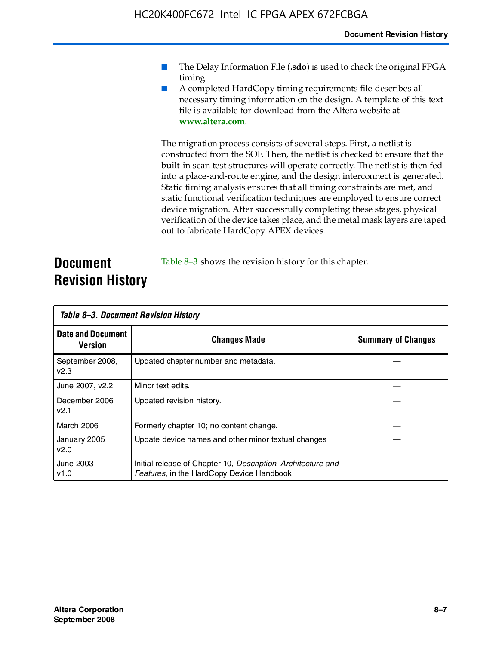- The Delay Information File (.sdo) is used to check the original FPGA timing
- A completed HardCopy timing requirements file describes all necessary timing information on the design. A template of this text file is available for download from the Altera website at **www.altera.com**.

The migration process consists of several steps. First, a netlist is constructed from the SOF. Then, the netlist is checked to ensure that the built-in scan test structures will operate correctly. The netlist is then fed into a place-and-route engine, and the design interconnect is generated. Static timing analysis ensures that all timing constraints are met, and static functional verification techniques are employed to ensure correct device migration. After successfully completing these stages, physical verification of the device takes place, and the metal mask layers are taped out to fabricate HardCopy APEX devices.

# **Document Revision History** Table 8–3 shows the revision history for this chapter.

| Table 8–3. Document Revision History |                                                                                                           |                           |  |  |
|--------------------------------------|-----------------------------------------------------------------------------------------------------------|---------------------------|--|--|
| <b>Date and Document</b><br>Version  | <b>Changes Made</b>                                                                                       | <b>Summary of Changes</b> |  |  |
| September 2008,<br>V <sub>2.3</sub>  | Updated chapter number and metadata.                                                                      |                           |  |  |
| June 2007, v2.2                      | Minor text edits.                                                                                         |                           |  |  |
| December 2006<br>v2.1                | Updated revision history.                                                                                 |                           |  |  |
| March 2006                           | Formerly chapter 10; no content change.                                                                   |                           |  |  |
| January 2005<br>v2.0                 | Update device names and other minor textual changes                                                       |                           |  |  |
| <b>June 2003</b><br>v1.0             | Initial release of Chapter 10, Description, Architecture and<br>Features, in the HardCopy Device Handbook |                           |  |  |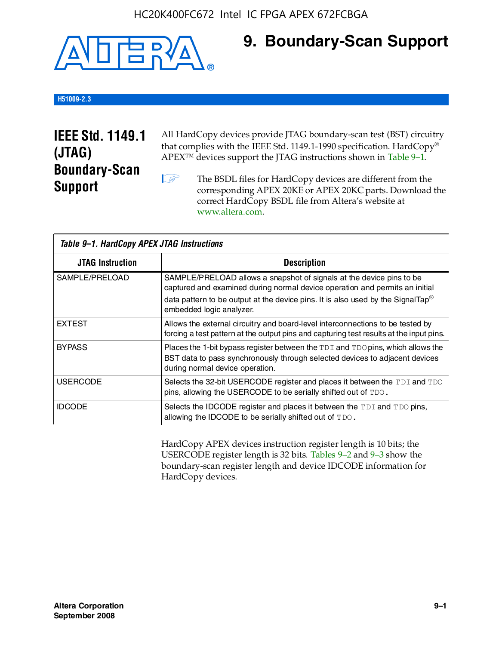

# **9. Boundary-Scan Support**

# **H51009-2.3**

# **IEEE Std. 1149.1 (JTAG) Boundary-Scan Support**

All HardCopy devices provide JTAG boundary-scan test (BST) circuitry that complies with the IEEE Std. 1149.1-1990 specification. HardCopy® APEX™ devices support the JTAG instructions shown in Table 9–1.

**1 The BSDL files for HardCopy devices are different from the** corresponding APEX 20KE or APEX 20KC parts. Download the [correct HardCopy BSDL file from Altera's website at](http://www.altera.com)  www.altera.com.

| Table 9-1. HardCopy APEX JTAG Instructions |                                                                                                                                                                                                                                                                                |  |  |  |
|--------------------------------------------|--------------------------------------------------------------------------------------------------------------------------------------------------------------------------------------------------------------------------------------------------------------------------------|--|--|--|
| <b>JTAG Instruction</b>                    | <b>Description</b>                                                                                                                                                                                                                                                             |  |  |  |
| SAMPLE/PRELOAD                             | SAMPLE/PRELOAD allows a snapshot of signals at the device pins to be<br>captured and examined during normal device operation and permits an initial<br>data pattern to be output at the device pins. It is also used by the SignalTap <sup>®</sup><br>embedded logic analyzer. |  |  |  |
| <b>EXTEST</b>                              | Allows the external circuitry and board-level interconnections to be tested by<br>forcing a test pattern at the output pins and capturing test results at the input pins.                                                                                                      |  |  |  |
| <b>BYPASS</b>                              | Places the 1-bit bypass register between the TDI and TDO pins, which allows the<br>BST data to pass synchronously through selected devices to adjacent devices<br>during normal device operation.                                                                              |  |  |  |
| <b>USERCODE</b>                            | Selects the 32-bit USERCODE register and places it between the TDI and TDO<br>pins, allowing the USERCODE to be serially shifted out of TDO.                                                                                                                                   |  |  |  |
| <b>IDCODE</b>                              | Selects the IDCODE register and places it between the TDI and TDO pins,<br>allowing the IDCODE to be serially shifted out of TDO.                                                                                                                                              |  |  |  |

HardCopy APEX devices instruction register length is 10 bits; the USERCODE register length is 32 bits. Tables 9–2 and 9–3 show the boundary-scan register length and device IDCODE information for HardCopy devices.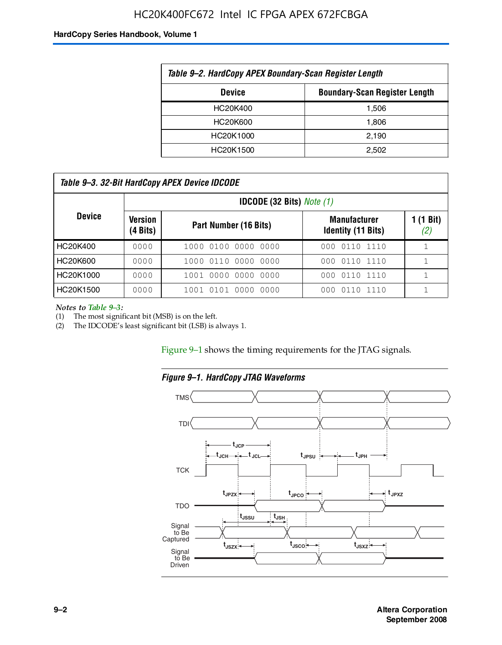# HC20K400FC672 Intel IC FPGA APEX 672FCBGA

#### **HardCopy Series Handbook, Volume 1**

| Table 9-2. HardCopy APEX Boundary-Scan Register Length |       |  |  |  |
|--------------------------------------------------------|-------|--|--|--|
| <b>Boundary-Scan Register Length</b><br><b>Device</b>  |       |  |  |  |
| HC20K400                                               | 1.506 |  |  |  |
| HC20K600                                               | 1.806 |  |  |  |
| HC20K1000                                              | 2,190 |  |  |  |
| HC20K1500                                              | 2.502 |  |  |  |

| Table 9–3. 32-Bit HardCopy APEX Device IDCODE |                               |                                    |                                                  |                  |  |  |  |  |
|-----------------------------------------------|-------------------------------|------------------------------------|--------------------------------------------------|------------------|--|--|--|--|
|                                               |                               | <b>IDCODE (32 Bits)</b> Note $(1)$ |                                                  |                  |  |  |  |  |
| <b>Device</b>                                 | Version<br>$(4 \text{ Bits})$ | Part Number (16 Bits)              | <b>Manufacturer</b><br><b>Identity (11 Bits)</b> | 1 (1 Bit)<br>(2) |  |  |  |  |
| HC20K400                                      | 0000                          | 1000 0100 0000 0000                | 000 0110 1110                                    |                  |  |  |  |  |
| HC20K600                                      | 0000                          | 1000 0110 0000 0000                | 000 0110 1110                                    |                  |  |  |  |  |
| HC20K1000                                     | 0000                          | 1001 0000 0000 0000                | 000 0110 1110                                    |                  |  |  |  |  |
| HC20K1500                                     | 0000                          | 1001 0101 0000 0000                | 0110 1110<br>000                                 |                  |  |  |  |  |

*Notes to Table 9–3:*

(1) The most significant bit (MSB) is on the left.

(2) The IDCODE's least significant bit (LSB) is always 1.

Figure 9–1 shows the timing requirements for the JTAG signals.



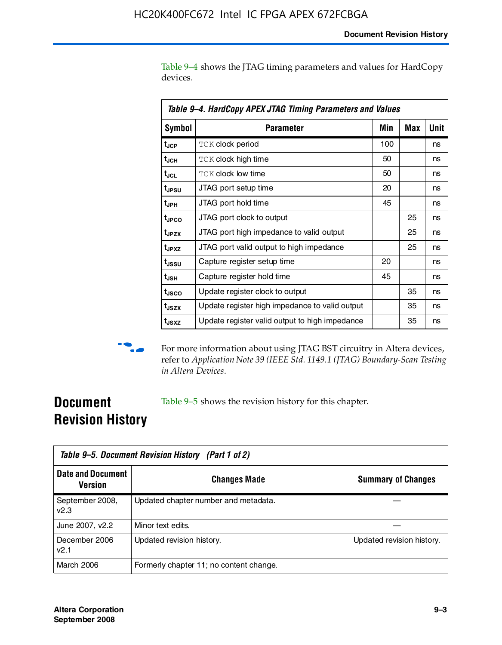Table 9–4 shows the JTAG timing parameters and values for HardCopy devices.

|                   | Table 9–4. HardCopy APEX JTAG Timing Parameters and Values |     |     |      |  |  |
|-------------------|------------------------------------------------------------|-----|-----|------|--|--|
| <b>Symbol</b>     | <b>Parameter</b>                                           | Min | Max | Unit |  |  |
| t <sub>JCP</sub>  | <b>TCK clock period</b>                                    | 100 |     | ns   |  |  |
| t <sub>JCH</sub>  | <b>TCK clock high time</b>                                 | 50  |     | ns   |  |  |
| t <sub>JCL</sub>  | <b>TCK clock low time</b>                                  | 50  |     | ns   |  |  |
| t <sub>JPSU</sub> | JTAG port setup time                                       | 20  |     | ns   |  |  |
| t <sub>JPH</sub>  | JTAG port hold time                                        | 45  |     | ns   |  |  |
| t <sub>JPCO</sub> | JTAG port clock to output                                  |     | 25  | ns   |  |  |
| t <sub>JPZX</sub> | JTAG port high impedance to valid output                   |     | 25  | ns   |  |  |
| t <sub>JPXZ</sub> | JTAG port valid output to high impedance                   |     | 25  | ns   |  |  |
| t <sub>JSSU</sub> | Capture register setup time                                | 20  |     | ns   |  |  |
| $t_{\sf JSH}$     | Capture register hold time                                 | 45  |     | ns   |  |  |
| t <sub>usco</sub> | Update register clock to output                            |     | 35  | ns   |  |  |
| t <sub>JSZX</sub> | Update register high impedance to valid output             |     | 35  | ns   |  |  |
| $t_{JSXZ}$        | Update register valid output to high impedance             |     | 35  | ns   |  |  |



**f** For more information about using JTAG BST circuitry in Altera devices, refer to *Application Note 39 (IEEE Std. 1149.1 (JTAG) Boundary-Scan Testing in Altera Devices*.

# **Document Revision History**

Table 9–5 shows the revision history for this chapter.

| Table 9–5. Document Revision History (Part 1 of 2) |                                         |                           |  |
|----------------------------------------------------|-----------------------------------------|---------------------------|--|
| <b>Date and Document</b><br>Version                | <b>Changes Made</b>                     | <b>Summary of Changes</b> |  |
| September 2008,<br>v2.3                            | Updated chapter number and metadata.    |                           |  |
| June 2007, v2.2                                    | Minor text edits.                       |                           |  |
| December 2006<br>v2.1                              | Updated revision history.               | Updated revision history. |  |
| March 2006                                         | Formerly chapter 11; no content change. |                           |  |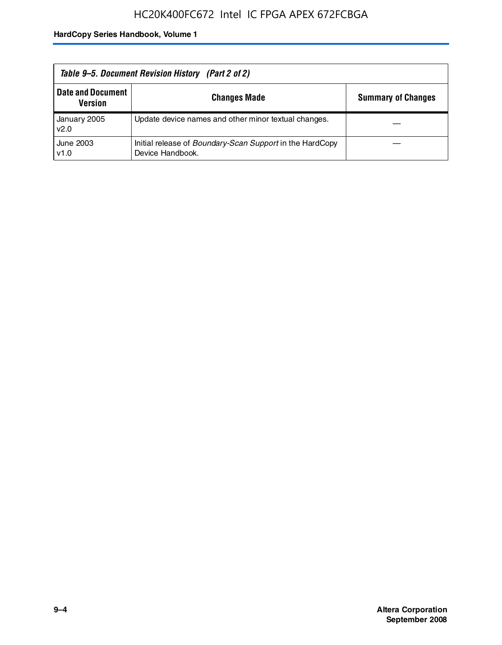| Table 9–5. Document Revision History (Part 2 of 2) |                                                                                     |                           |  |
|----------------------------------------------------|-------------------------------------------------------------------------------------|---------------------------|--|
| <b>Date and Document</b><br>Version                | <b>Changes Made</b>                                                                 | <b>Summary of Changes</b> |  |
| January 2005<br>v2.0                               | Update device names and other minor textual changes.                                |                           |  |
| June 2003<br>v1.0                                  | Initial release of <i>Boundary-Scan Support</i> in the HardCopy<br>Device Handbook. |                           |  |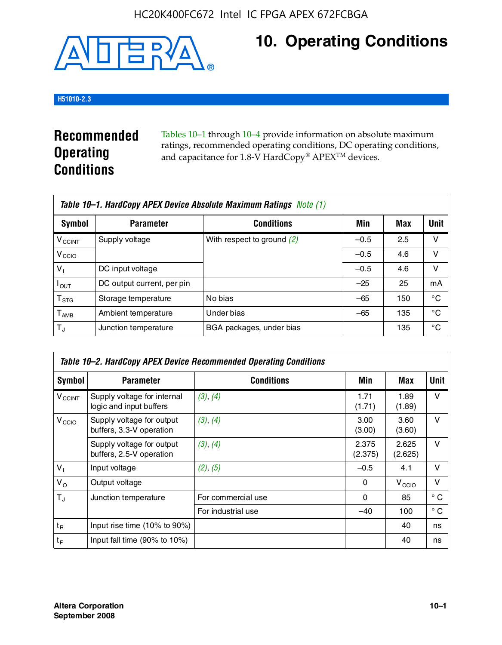

# **10. Operating Conditions**

# **H51010-2.3**

# **Recommended Operating Conditions**

Tables 10–1 through 10–4 provide information on absolute maximum ratings, recommended operating conditions, DC operating conditions, and capacitance for 1.8-V HardCopy® APEX<sup>TM</sup> devices.

|                           | Table 10–1. HardCopy APEX Device Absolute Maximum Ratings Note (1) |                              |        |     |             |  |
|---------------------------|--------------------------------------------------------------------|------------------------------|--------|-----|-------------|--|
| Symbol                    | <b>Parameter</b>                                                   | <b>Conditions</b>            | Min    | Max | <b>Unit</b> |  |
| <b>V<sub>CCINT</sub></b>  | Supply voltage                                                     | With respect to ground $(2)$ | $-0.5$ | 2.5 | v           |  |
| V <sub>CCIO</sub>         |                                                                    |                              | $-0.5$ | 4.6 | ν           |  |
| $V_1$                     | DC input voltage                                                   |                              | $-0.5$ | 4.6 | v           |  |
| $I_{OUT}$                 | DC output current, per pin                                         |                              | $-25$  | 25  | mA          |  |
| $\mathsf{T}_{\text{STG}}$ | Storage temperature                                                | No bias                      | $-65$  | 150 | °€          |  |
| $T_{\sf AMB}$             | Ambient temperature                                                | Under bias                   | $-65$  | 135 | °C          |  |
| $T_{\rm J}$               | Junction temperature                                               | BGA packages, under bias     |        | 135 | °C          |  |

| Table 10–2. HardCopy APEX Device Recommended Operating Conditions |                                                        |                    |                  |                   |              |  |  |
|-------------------------------------------------------------------|--------------------------------------------------------|--------------------|------------------|-------------------|--------------|--|--|
| Symbol                                                            | <b>Parameter</b>                                       | <b>Conditions</b>  | Min              | Max               | Unit         |  |  |
| $V_{\text{CCINT}}$                                                | Supply voltage for internal<br>logic and input buffers | (3), (4)           | 1.71<br>(1.71)   | 1.89<br>(1.89)    | $\vee$       |  |  |
| V <sub>CCIO</sub>                                                 | Supply voltage for output<br>buffers, 3.3-V operation  | (3), (4)           | 3.00<br>(3.00)   | 3.60<br>(3.60)    | $\vee$       |  |  |
|                                                                   | Supply voltage for output<br>buffers, 2.5-V operation  | (3), (4)           | 2.375<br>(2.375) | 2.625<br>(2.625)  | $\vee$       |  |  |
| $V_1$                                                             | Input voltage                                          | (2), (5)           | $-0.5$           | 4.1               | $\vee$       |  |  |
| $V_{\rm O}$                                                       | Output voltage                                         |                    | 0                | V <sub>CCIO</sub> | $\vee$       |  |  |
| $T_{\rm J}$                                                       | Junction temperature                                   | For commercial use | 0                | 85                | $^{\circ}$ C |  |  |
|                                                                   |                                                        | For industrial use | $-40$            | 100               | $^{\circ}$ C |  |  |
| $t_{R}$                                                           | Input rise time (10% to 90%)                           |                    |                  | 40                | ns           |  |  |
| $t_F$                                                             | Input fall time $(90\% \text{ to } 10\%)$              |                    |                  | 40                | ns           |  |  |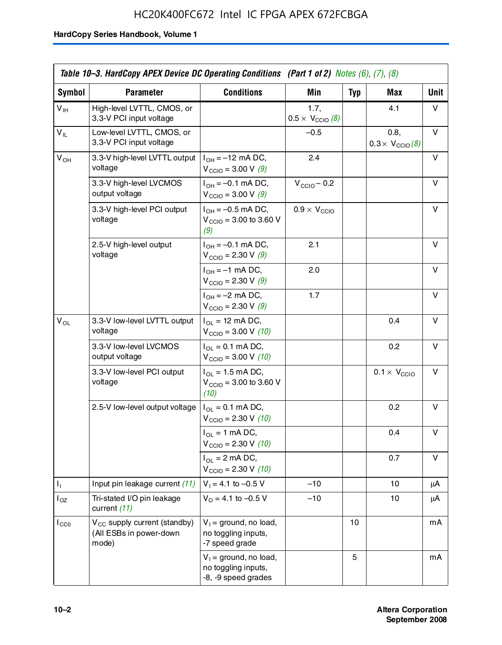# HC20K400FC672 Intel IC FPGA APEX 672FCBGA

|                 | Table 10–3. HardCopy APEX Device DC Operating Conditions (Part 1 of 2) Notes $(6)$ , $(7)$ , $(8)$ |                                                                        |                                          |     |                                         |      |
|-----------------|----------------------------------------------------------------------------------------------------|------------------------------------------------------------------------|------------------------------------------|-----|-----------------------------------------|------|
| Symbol          | <b>Parameter</b>                                                                                   | <b>Conditions</b>                                                      | Min                                      | Typ | Max                                     | Unit |
| $V_{\text{IH}}$ | High-level LVTTL, CMOS, or<br>3.3-V PCI input voltage                                              |                                                                        | 1.7,<br>$0.5 \times V_{\text{CCIO}}$ (8) |     | 4.1                                     | v    |
| $V_{IL}$        | Low-level LVTTL. CMOS. or<br>3.3-V PCI input voltage                                               |                                                                        | $-0.5$                                   |     | 0.8,<br>$0.3 \times V_{\text{CCIO}}(8)$ | v    |
| $V_{OH}$        | 3.3-V high-level LVTTL output<br>voltage                                                           | $I_{OH} = -12$ mA DC,<br>$V_{\text{CCIO}} = 3.00 \text{ V} (9)$        | 2.4                                      |     |                                         | v    |
|                 | 3.3-V high-level LVCMOS<br>output voltage                                                          | $I_{OH} = -0.1$ mA DC,<br>$V_{\text{CCIO}} = 3.00 \text{ V} (9)$       | $V_{\text{CCIO}} - 0.2$                  |     |                                         | v    |
|                 | 3.3-V high-level PCI output<br>voltage                                                             | $I_{OH} = -0.5$ mA DC,<br>$V_{\text{CCIO}} = 3.00$ to 3.60 V<br>(9)    | $0.9 \times V_{\text{CCIO}}$             |     |                                         | v    |
|                 | 2.5-V high-level output<br>voltage                                                                 | $I_{OH} = -0.1$ mA DC,<br>$V_{\text{CCIO}} = 2.30 V (9)$               | 2.1                                      |     |                                         | v    |
|                 |                                                                                                    | $I_{OH} = -1$ mA DC,<br>$V_{\text{CCIO}} = 2.30 \text{ V} (9)$         | 2.0                                      |     |                                         | v    |
|                 |                                                                                                    | $I_{OH} = -2$ mA DC,<br>$V_{\text{CCIO}} = 2.30 \text{ V} (9)$         | 1.7                                      |     |                                         | v    |
| $V_{OL}$        | 3.3-V low-level LVTTL output<br>voltage                                                            | $I_{OL}$ = 12 mA DC,<br>$V_{\text{CCIO}} = 3.00 V (10)$                |                                          |     | 0.4                                     | v    |
|                 | 3.3-V low-level LVCMOS<br>output voltage                                                           | $I_{OL} = 0.1$ mA DC,<br>$V_{\text{CCIO}} = 3.00 \text{ V} (10)$       |                                          |     | 0.2                                     | v    |
|                 | 3.3-V low-level PCI output<br>voltage                                                              | $I_{OL}$ = 1.5 mA DC,<br>$V_{\text{CCIO}} = 3.00$ to 3.60 V<br>(10)    |                                          |     | $0.1 \times V_{\text{CCIO}}$            | v    |
|                 | 2.5-V low-level output voltage                                                                     | $I_{OL} = 0.1$ mA DC,<br>$V_{\text{CCIO}} = 2.30 \text{ V} (10)$       |                                          |     | 0.2                                     | v    |
|                 |                                                                                                    | $I_{OL}$ = 1 mA DC,<br>$V_{\text{CCIO}} = 2.30 V (10)$                 |                                          |     | 0.4                                     | v    |
|                 |                                                                                                    | $I_{OL}$ = 2 mA DC,<br>$V_{\text{CCIO}} = 2.30 \text{ V} (10)$         |                                          |     | 0.7                                     | v    |
| Ъ.              | Input pin leakage current (11)                                                                     | $V_1 = 4.1$ to $-0.5$ V                                                | $-10$                                    |     | 10                                      | μA   |
| $I_{OZ}$        | Tri-stated I/O pin leakage<br>current (11)                                                         | $V_0 = 4.1$ to $-0.5$ V                                                | $-10$                                    |     | 10                                      | μA   |
| $I_{CC0}$       | V <sub>CC</sub> supply current (standby)<br>(All ESBs in power-down<br>mode)                       | $V_1$ = ground, no load,<br>no toggling inputs,<br>-7 speed grade      |                                          | 10  |                                         | mA   |
|                 |                                                                                                    | $V_1$ = ground, no load,<br>no toggling inputs,<br>-8, -9 speed grades |                                          | 5   |                                         | mA   |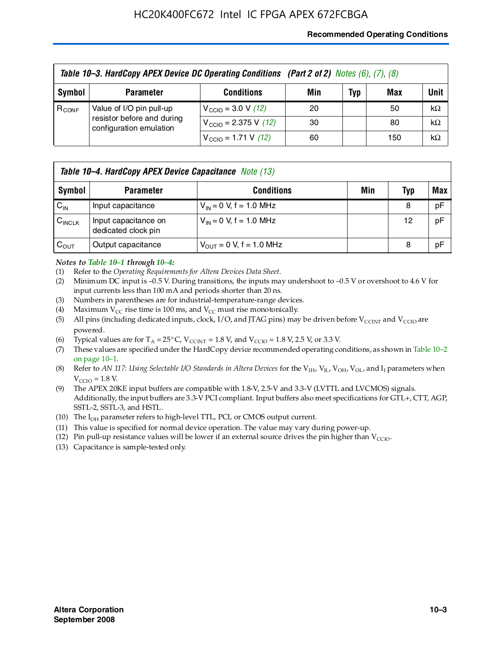## **Recommended Operating Conditions**

|            | Table 10-3. HardCopy APEX Device DC Operating Conditions (Part 2 of 2) Notes (6), (7), (8) |                                          |     |     |     |           |  |
|------------|--------------------------------------------------------------------------------------------|------------------------------------------|-----|-----|-----|-----------|--|
| Symbol     | <b>Parameter</b>                                                                           | <b>Conditions</b>                        | Min | Typ | Max | Unit      |  |
| $R_{CONF}$ | Value of I/O pin pull-up                                                                   | $V_{\text{CCIO}} = 3.0 \text{ V} (12)$   | 20  |     | 50  | $k\Omega$ |  |
|            | resistor before and during<br>configuration emulation                                      | $V_{\text{CCIO}} = 2.375 \text{ V}$ (12) | 30  |     | 80  | $k\Omega$ |  |
|            |                                                                                            | $V_{\text{CCIO}} = 1.71 \text{ V}$ (12)  | 60  |     | 150 | $k\Omega$ |  |

|                    | <b>Table 10–4. HardCopy APEX Device Capacitance</b> Note (13) |                              |     |     |     |  |
|--------------------|---------------------------------------------------------------|------------------------------|-----|-----|-----|--|
| Symbol             | <b>Parameter</b>                                              | <b>Conditions</b>            | Min | Typ | Max |  |
| $C_{\text{IN}}$    | Input capacitance                                             | $V_{IN} = 0$ V, f = 1.0 MHz  |     | 8   | pF  |  |
| $C_{\text{INCLK}}$ | Input capacitance on<br>dedicated clock pin                   | $V_{IN} = 0$ V, f = 1.0 MHz  |     | 12  | pF  |  |
| $C_{\text{OUT}}$   | Output capacitance                                            | $V_{OUT} = 0$ V, f = 1.0 MHz |     | 8   | pF  |  |

### *Notes to Table 10–1 through 10–4:*

- (1) Refer to the *Operating Requirements for Altera Devices Data Sheet*.
- (2) Minimum DC input is –0.5 V. During transitions, the inputs may undershoot to –0.5 V or overshoot to 4.6 V for input currents less than 100 mA and periods shorter than 20 ns.
- (3) Numbers in parentheses are for industrial-temperature-range devices.
- (4) Maximum  $V_{CC}$  rise time is 100 ms, and  $V_{CC}$  must rise monotonically.
- (5) All pins (including dedicated inputs, clock, I/O, and JTAG pins) may be driven before  $V_{\text{CCINT}}$  and  $V_{\text{CCIO}}$  are powered.
- (6) Typical values are for  $T_A = 25^{\circ}$  C,  $V_{CCTNT} = 1.8$  V, and  $V_{CCTO} = 1.8$  V, 2.5 V, or 3.3 V.
- (7) These values are specified under the HardCopy device recommended operating conditions, as shown in Table 10–2 on page 10–1.
- (8) Refer to *AN 117: Using Selectable I/O Standards in Altera Devices* for the V<sub>IH</sub>, V<sub>IL</sub>, V<sub>OH</sub>, V<sub>OL</sub>, and I<sub>I</sub> parameters when  $V_{\text{CCIO}} = 1.8 \text{ V}$ .
- (9) The APEX 20KE input buffers are compatible with 1.8-V, 2.5-V and 3.3-V (LVTTL and LVCMOS) signals. Additionally, the input buffers are 3.3-V PCI compliant. Input buffers also meet specifications for GTL+, CTT, AGP, SSTL-2, SSTL-3, and HSTL.
- (10) The  $I_{OH}$  parameter refers to high-level TTL, PCI, or CMOS output current.
- (11) This value is specified for normal device operation. The value may vary during power-up.
- (12) Pin pull-up resistance values will be lower if an external source drives the pin higher than  $V_{CCIO}$ .
- (13) Capacitance is sample-tested only.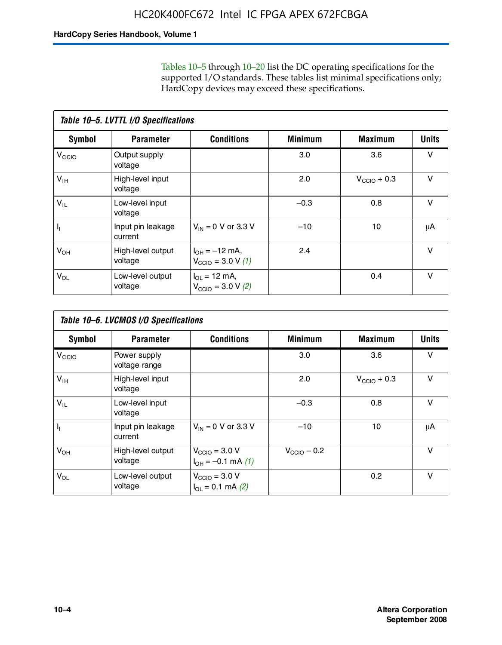Tables 10–5 through 10–20 list the DC operating specifications for the supported I/O standards. These tables list minimal specifications only; HardCopy devices may exceed these specifications.

|                           | Table 10-5. LVTTL I/O Specifications |                                                                 |                |                         |              |  |  |  |  |
|---------------------------|--------------------------------------|-----------------------------------------------------------------|----------------|-------------------------|--------------|--|--|--|--|
| Symbol                    | <b>Parameter</b>                     | <b>Conditions</b>                                               | <b>Minimum</b> | <b>Maximum</b>          | <b>Units</b> |  |  |  |  |
| $V_{\text{CCIO}}$         | Output supply<br>voltage             |                                                                 | 3.0            | 3.6                     | v            |  |  |  |  |
| $V_{\text{IH}}$           | High-level input<br>voltage          |                                                                 | 2.0            | $V_{\text{CCIO}} + 0.3$ | $\vee$       |  |  |  |  |
| $V_{IL}$                  | Low-level input<br>voltage           |                                                                 | $-0.3$         | 0.8                     | v            |  |  |  |  |
| $\mathsf{I}_{\mathsf{I}}$ | Input pin leakage<br>current         | $V_{IN} = 0$ V or 3.3 V                                         | $-10$          | 10                      | μA           |  |  |  |  |
| $V_{OH}$                  | High-level output<br>voltage         | $I_{OH} = -12$ mA,<br>$V_{\text{CCIO}} = 3.0 V (1)$             | 2.4            |                         | $\vee$       |  |  |  |  |
| $V_{OL}$                  | Low-level output<br>voltage          | $I_{\Omega I} = 12 \text{ mA}$<br>$V_{\text{CCIO}} = 3.0 V (2)$ |                | 0.4                     | $\vee$       |  |  |  |  |

|                   | Table 10-6. LVCMOS I/O Specifications |                                                       |                         |                  |              |  |  |  |  |
|-------------------|---------------------------------------|-------------------------------------------------------|-------------------------|------------------|--------------|--|--|--|--|
| Symbol            | <b>Parameter</b>                      | <b>Conditions</b>                                     | <b>Minimum</b>          | <b>Maximum</b>   | <b>Units</b> |  |  |  |  |
| V <sub>CCIO</sub> | Power supply<br>voltage range         |                                                       | 3.0                     | 3.6              | v            |  |  |  |  |
| $V_{\text{IH}}$   | High-level input<br>voltage           |                                                       | 2.0                     | $V_{CClO}$ + 0.3 | v            |  |  |  |  |
| $V_{IL}$          | Low-level input<br>voltage            |                                                       | $-0.3$                  | 0.8              | $\vee$       |  |  |  |  |
| H,                | Input pin leakage<br>current          | $V_{IN} = 0$ V or 3.3 V                               | $-10$                   | 10               | μA           |  |  |  |  |
| $V_{OH}$          | High-level output<br>voltage          | $V_{\text{CCIO}} = 3.0 V$<br>$I_{OH} = -0.1$ mA $(1)$ | $V_{\text{CCIO}} - 0.2$ |                  | $\vee$       |  |  |  |  |
| $V_{OL}$          | Low-level output<br>voltage           | $V_{\text{CCIO}} = 3.0 V$<br>$I_{OL} = 0.1$ mA (2)    |                         | 0.2              | $\vee$       |  |  |  |  |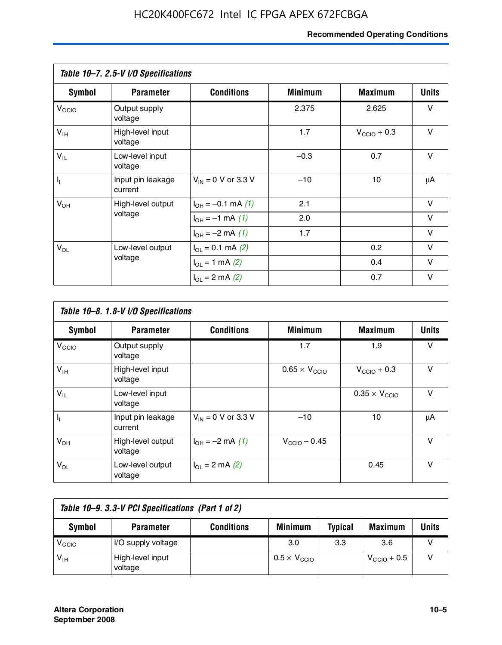# **Recommended Operating Conditions**

|                   | Table 10-7. 2.5-V I/O Specifications |                             |                |                         |              |
|-------------------|--------------------------------------|-----------------------------|----------------|-------------------------|--------------|
| Symbol            | <b>Parameter</b>                     | <b>Conditions</b>           | <b>Minimum</b> | <b>Maximum</b>          | <b>Units</b> |
| V <sub>CCIO</sub> | Output supply<br>voltage             |                             | 2.375          | 2.625                   | v            |
| $V_{\text{IH}}$   | High-level input<br>voltage          |                             | 1.7            | $V_{\text{CCIO}} + 0.3$ | $\vee$       |
| $V_{IL}$          | Low-level input<br>voltage           |                             | $-0.3$         | 0.7                     | $\vee$       |
| $\mathbf{l}_1$    | Input pin leakage<br>current         | $V_{IN}$ = 0 V or 3.3 V     | $-10$          | 10                      | μA           |
| $V_{OH}$          | High-level output                    | $I_{OH} = -0.1$ mA $(1)$    | 2.1            |                         | $\vee$       |
|                   | voltage                              | $I_{OH} = -1$ mA (1)        | 2.0            |                         | $\vee$       |
|                   |                                      | $I_{OH} = -2$ mA (1)        | 1.7            |                         | $\vee$       |
| $V_{OL}$          | Low-level output                     | $I_{\Omega} = 0.1$ mA $(2)$ |                | 0.2                     | v            |
|                   | voltage                              | $I_{OL} = 1$ mA (2)         |                | 0.4                     | $\vee$       |
|                   |                                      | $I_{\Omega}$ = 2 mA (2)     |                | 0.7                     | v            |

|                   | Table 10-8. 1.8-V I/O Specifications |                         |                               |                               |              |  |  |  |  |
|-------------------|--------------------------------------|-------------------------|-------------------------------|-------------------------------|--------------|--|--|--|--|
| Symbol            | <b>Parameter</b>                     | <b>Conditions</b>       | <b>Minimum</b>                | <b>Maximum</b>                | <b>Units</b> |  |  |  |  |
| V <sub>CCIO</sub> | Output supply<br>voltage             |                         | 1.7                           | 1.9                           | v            |  |  |  |  |
| $V_{IH}$          | High-level input<br>voltage          |                         | $0.65 \times V_{\text{CCIO}}$ | $V_{\text{CCIO}} + 0.3$       | v            |  |  |  |  |
| $V_{IL}$          | Low-level input<br>voltage           |                         |                               | $0.35 \times V_{\text{CCIO}}$ | $\vee$       |  |  |  |  |
| $\mathbf{l}_{1}$  | Input pin leakage<br>current         | $V_{IN} = 0$ V or 3.3 V | $-10$                         | 10                            | μA           |  |  |  |  |
| $V_{OH}$          | High-level output<br>voltage         | $I_{OH} = -2$ mA (1)    | $V_{\text{CCIO}} - 0.45$      |                               | v            |  |  |  |  |
| $V_{OL}$          | Low-level output<br>voltage          | $I_{\Omega}$ = 2 mA (2) |                               | 0.45                          | $\vee$       |  |  |  |  |

| Table 10-9. 3.3-V PCI Specifications (Part 1 of 2) |                             |                   |                              |                |                         |       |  |
|----------------------------------------------------|-----------------------------|-------------------|------------------------------|----------------|-------------------------|-------|--|
| Symbol                                             | <b>Parameter</b>            | <b>Conditions</b> | <b>Minimum</b>               | <b>Typical</b> | <b>Maximum</b>          | Units |  |
| V <sub>CIO</sub>                                   | I/O supply voltage          |                   | 3.0                          | 3.3            | 3.6                     |       |  |
| $V_{\text{IH}}$                                    | High-level input<br>voltage |                   | $0.5 \times V_{\text{CCIO}}$ |                | $V_{\text{CCIO}} + 0.5$ |       |  |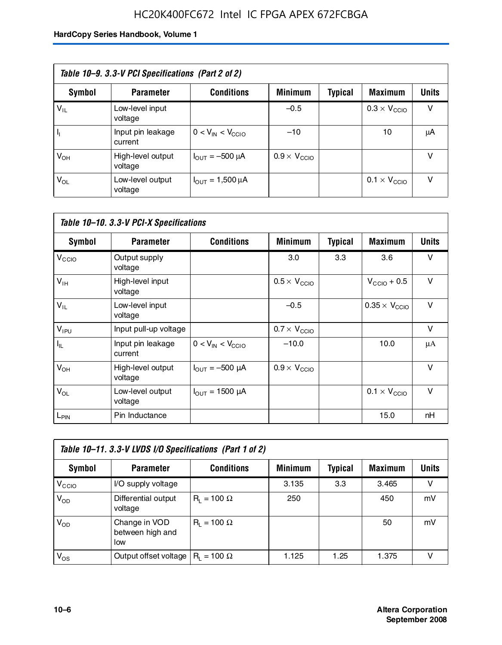# HC20K400FC672 Intel IC FPGA APEX 672FCBGA

| Table 10–9. 3.3-V PCI Specifications (Part 2 of 2) |                              |                                        |                              |         |                              |              |  |
|----------------------------------------------------|------------------------------|----------------------------------------|------------------------------|---------|------------------------------|--------------|--|
| Symbol                                             | <b>Parameter</b>             | <b>Conditions</b>                      | <b>Minimum</b>               | Typical | <b>Maximum</b>               | <b>Units</b> |  |
| $V_{IL}$                                           | Low-level input<br>voltage   |                                        | $-0.5$                       |         | $0.3 \times V_{\text{CCIO}}$ | v            |  |
|                                                    | Input pin leakage<br>current | $0 < V_{IN} < V_{CCIO}$                | $-10$                        |         | 10                           | μA           |  |
| $V_{OH}$                                           | High-level output<br>voltage | $I_{\text{OUT}} = -500 \mu A$          | $0.9 \times V_{\text{CCIO}}$ |         |                              | v            |  |
| $V_{OL}$                                           | Low-level output<br>voltage  | $I_{\text{OUT}} = 1,500 \,\mu\text{A}$ |                              |         | $0.1 \times V_{\text{CCIO}}$ | v            |  |

| Table 10-10. 3.3-V PCI-X Specifications |                              |                               |                              |                |                               |              |  |
|-----------------------------------------|------------------------------|-------------------------------|------------------------------|----------------|-------------------------------|--------------|--|
| <b>Symbol</b>                           | <b>Parameter</b>             | <b>Conditions</b>             | <b>Minimum</b>               | <b>Typical</b> | <b>Maximum</b>                | <b>Units</b> |  |
| V <sub>CCIO</sub>                       | Output supply<br>voltage     |                               | 3.0                          | 3.3            | 3.6                           | v            |  |
| V <sub>IH</sub>                         | High-level input<br>voltage  |                               | $0.5 \times V_{\text{CCIO}}$ |                | $V_{\text{CCIO}} + 0.5$       | $\vee$       |  |
| $V_{IL}$                                | Low-level input<br>voltage   |                               | $-0.5$                       |                | $0.35 \times V_{\text{CCIO}}$ | $\vee$       |  |
| $V_{IPU}$                               | Input pull-up voltage        |                               | $0.7 \times V_{\text{CCIO}}$ |                |                               | $\vee$       |  |
| $I_{\rm IL}$                            | Input pin leakage<br>current | $0 < V_{IN} < V_{CGIO}$       | $-10.0$                      |                | 10.0                          | μA           |  |
| $V_{OH}$                                | High-level output<br>voltage | $I_{\text{OUT}} = -500 \mu A$ | $0.9 \times V_{\text{CCIO}}$ |                |                               | $\vee$       |  |
| $V_{OL}$                                | Low-level output<br>voltage  | $I_{\text{OUT}} = 1500 \mu A$ |                              |                | $0.1 \times V_{\text{CCIO}}$  | $\vee$       |  |
| L <sub>PIN</sub>                        | Pin Inductance               |                               |                              |                | 15.0                          | nH           |  |

| Table 10-11. 3.3-V LVDS I/O Specifications (Part 1 of 2) |                                          |                    |                |         |                |        |  |
|----------------------------------------------------------|------------------------------------------|--------------------|----------------|---------|----------------|--------|--|
| Symbol                                                   | <b>Parameter</b>                         | <b>Conditions</b>  | <b>Minimum</b> | Typical | <b>Maximum</b> | Units  |  |
| V <sub>CIO</sub>                                         | I/O supply voltage                       |                    | 3.135          | 3.3     | 3.465          | $\vee$ |  |
| $V_{OD}$                                                 | Differential output<br>voltage           | $R_1 = 100 \Omega$ | 250            |         | 450            | mV     |  |
| $V_{OD}$                                                 | Change in VOD<br>between high and<br>low | $R_i = 100 \Omega$ |                |         | 50             | mV     |  |
| $V_{OS}$                                                 | Output offset voltage                    | $R_1 = 100 \Omega$ | 1.125          | 1.25    | 1.375          |        |  |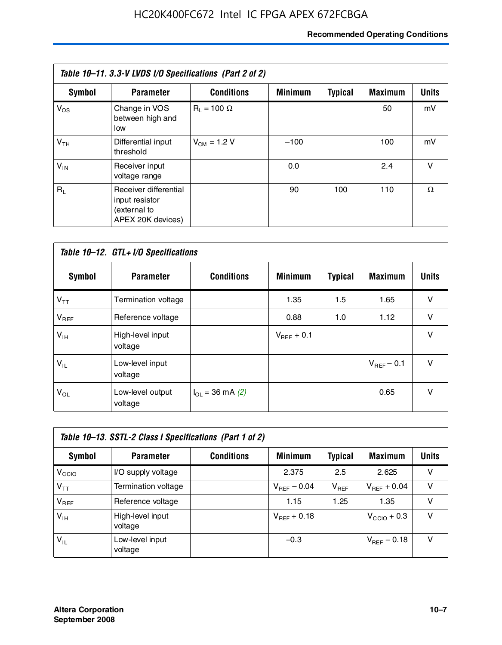# **Recommended Operating Conditions**

| Table 10–11. 3.3-V LVDS I/O Specifications (Part 2 of 2) |                                                                              |                    |                |                |                |              |  |
|----------------------------------------------------------|------------------------------------------------------------------------------|--------------------|----------------|----------------|----------------|--------------|--|
| Symbol                                                   | <b>Parameter</b>                                                             | <b>Conditions</b>  | <b>Minimum</b> | <b>Typical</b> | <b>Maximum</b> | <b>Units</b> |  |
| $V_{OS}$                                                 | Change in VOS<br>between high and<br>low                                     | $R_1 = 100 \Omega$ |                |                | 50             | mV           |  |
| V <sub>TH</sub>                                          | Differential input<br>threshold                                              | $V_{CM} = 1.2 V$   | $-100$         |                | 100            | mV           |  |
| $V_{IN}$                                                 | Receiver input<br>voltage range                                              |                    | 0.0            |                | 2.4            | v            |  |
| $R_1$                                                    | Receiver differential<br>input resistor<br>(external to<br>APEX 20K devices) |                    | 90             | 100            | 110            | Ω            |  |

| Table 10-12. GTL+ I/O Specifications |                             |                          |                 |                |                 |              |  |
|--------------------------------------|-----------------------------|--------------------------|-----------------|----------------|-----------------|--------------|--|
| <b>Symbol</b>                        | <b>Parameter</b>            | <b>Conditions</b>        | <b>Minimum</b>  | <b>Typical</b> | <b>Maximum</b>  | <b>Units</b> |  |
| $V_{TT}$                             | Termination voltage         |                          | 1.35            | 1.5            | 1.65            | v            |  |
| $V_{REF}$                            | Reference voltage           |                          | 0.88            | 1.0            | 1.12            | v            |  |
| $V_{IH}$                             | High-level input<br>voltage |                          | $V_{REF}$ + 0.1 |                |                 | $\vee$       |  |
| $V_{IL}$                             | Low-level input<br>voltage  |                          |                 |                | $V_{BFF}$ – 0.1 | $\vee$       |  |
| $V_{OL}$                             | Low-level output<br>voltage | $I_{\Omega}$ = 36 mA (2) |                 |                | 0.65            | v            |  |

| Table 10–13. SSTL-2 Class I Specifications (Part 1 of 2) |                             |                   |                         |           |                         |              |  |
|----------------------------------------------------------|-----------------------------|-------------------|-------------------------|-----------|-------------------------|--------------|--|
| Symbol                                                   | <b>Parameter</b>            | <b>Conditions</b> | <b>Minimum</b>          | Typical   | <b>Maximum</b>          | <b>Units</b> |  |
| V <sub>CIO</sub>                                         | I/O supply voltage          |                   | 2.375                   | 2.5       | 2.625                   | v            |  |
| $V_{TT}$                                                 | Termination voltage         |                   | $V_{\text{REF}}$ – 0.04 | $V_{REF}$ | $V_{REF}$ + 0.04        | v            |  |
| $V_{BEF}$                                                | Reference voltage           |                   | 1.15                    | 1.25      | 1.35                    | v            |  |
| $V_{\text{H}}$                                           | High-level input<br>voltage |                   | $V_{REF}$ + 0.18        |           | $V_{\text{CCIO}} + 0.3$ | v            |  |
| $V_{IL}$                                                 | Low-level input<br>voltage  |                   | $-0.3$                  |           | $V_{\text{BFE}} - 0.18$ | v            |  |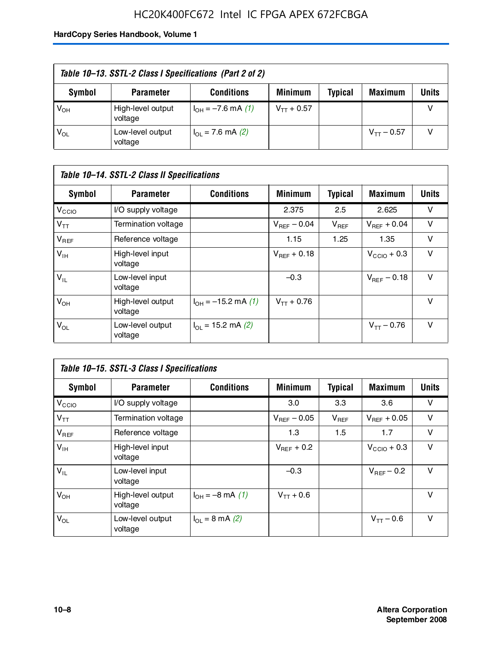# HC20K400FC672 Intel IC FPGA APEX 672FCBGA

| Table 10–13. SSTL-2 Class I Specifications (Part 2 of 2) |                              |                           |                 |                |                 |              |
|----------------------------------------------------------|------------------------------|---------------------------|-----------------|----------------|-----------------|--------------|
| Symbol                                                   | <b>Parameter</b>             | <b>Conditions</b>         | <b>Minimum</b>  | <b>Typical</b> | <b>Maximum</b>  | <b>Units</b> |
| $V_{OH}$                                                 | High-level output<br>voltage | $I_{OH} = -7.6$ mA (1)    | $V_{TT}$ + 0.57 |                |                 |              |
| $V_{OL}$                                                 | Low-level output<br>voltage  | $I_{\Omega}$ = 7.6 mA (2) |                 |                | $V_{TT}$ – 0.57 |              |

| Table 10–14. SSTL-2 Class II Specifications |                              |                                       |                  |                |                  |        |
|---------------------------------------------|------------------------------|---------------------------------------|------------------|----------------|------------------|--------|
| <b>Symbol</b>                               | <b>Parameter</b>             | <b>Conditions</b>                     | <b>Minimum</b>   | <b>Typical</b> | Maximum          | Units  |
| V <sub>CCIO</sub>                           | I/O supply voltage           |                                       | 2.375            | 2.5            | 2.625            | v      |
| $V_{TT}$                                    | Termination voltage          |                                       | $V_{BFF}$ – 0.04 | $V_{REF}$      | $V_{BFF}$ + 0.04 | v      |
| $V_{REF}$                                   | Reference voltage            |                                       | 1.15             | 1.25           | 1.35             | $\vee$ |
| $V_{IH}$                                    | High-level input<br>voltage  |                                       | $V_{BFF}$ + 0.18 |                | $V_{CCD}$ + 0.3  | v      |
| $V_{IL}$                                    | Low-level input<br>voltage   |                                       | $-0.3$           |                | $V_{BFF}$ – 0.18 | v      |
| $V_{OH}$                                    | High-level output<br>voltage | $I_{OH} = -15.2$ mA (1)               | $V_{TT}$ + 0.76  |                |                  | v      |
| $V_{OL}$                                    | Low-level output<br>voltage  | $I_{\text{O1}} = 15.2 \text{ mA} (2)$ |                  |                | $V_{TT} - 0.76$  | $\vee$ |

| Table 10–15. SSTL-3 Class I Specifications |                              |                                 |                         |                |                         |              |
|--------------------------------------------|------------------------------|---------------------------------|-------------------------|----------------|-------------------------|--------------|
| <b>Symbol</b>                              | <b>Parameter</b>             | <b>Conditions</b>               | <b>Minimum</b>          | <b>Typical</b> | <b>Maximum</b>          | <b>Units</b> |
| V <sub>CCIO</sub>                          | I/O supply voltage           |                                 | 3.0                     | 3.3            | 3.6                     | v            |
| $V_{TT}$                                   | Termination voltage          |                                 | $V_{\text{BFF}}$ – 0.05 | $V_{REF}$      | $V_{BFF}$ + 0.05        | v            |
| $V_{REF}$                                  | Reference voltage            |                                 | 1.3                     | 1.5            | 1.7                     | v            |
| $V_{\text{IH}}$                            | High-level input<br>voltage  |                                 | $V_{BFF}$ + 0.2         |                | $V_{\text{CCIO}} + 0.3$ | v            |
| $V_{IL}$                                   | Low-level input<br>voltage   |                                 | $-0.3$                  |                | $V_{BFF}$ – 0.2         | v            |
| $V_{OH}$                                   | High-level output<br>voltage | $I_{OH} = -8$ mA (1)            | $V_{TT} + 0.6$          |                |                         | $\vee$       |
| $V_{OL}$                                   | Low-level output<br>voltage  | $I_{\Omega} = 8 \text{ mA} (2)$ |                         |                | $V_{TT} - 0.6$          | v            |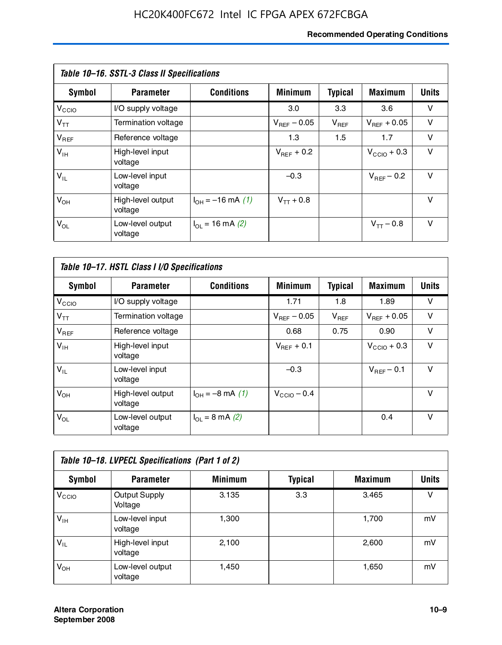# **Recommended Operating Conditions**

| Table 10–16. SSTL-3 Class II Specifications |                              |                          |                         |                |                  |              |  |
|---------------------------------------------|------------------------------|--------------------------|-------------------------|----------------|------------------|--------------|--|
| Symbol                                      | <b>Parameter</b>             | <b>Conditions</b>        | <b>Minimum</b>          | <b>Typical</b> | <b>Maximum</b>   | <b>Units</b> |  |
| V <sub>CCIO</sub>                           | I/O supply voltage           |                          | 3.0                     | 3.3            | 3.6              | v            |  |
| $V_{TT}$                                    | Termination voltage          |                          | $V_{\text{BFE}} - 0.05$ | $V_{REF}$      | $V_{BFF}$ + 0.05 | v            |  |
| $V_{REF}$                                   | Reference voltage            |                          | 1.3                     | 1.5            | 1.7              | v            |  |
| $V_{IH}$                                    | High-level input<br>voltage  |                          | $V_{BFF}$ + 0.2         |                | $V_{CCD}$ + 0.3  | v            |  |
| $V_{IL}$                                    | Low-level input<br>voltage   |                          | $-0.3$                  |                | $V_{BFF}$ – 0.2  | $\vee$       |  |
| $V_{OH}$                                    | High-level output<br>voltage | $I_{OH} = -16$ mA (1)    | $V_{TT}$ + 0.8          |                |                  | v            |  |
| $V_{OL}$                                    | Low-level output<br>voltage  | $I_{\Omega}$ = 16 mA (2) |                         |                | $V_{TT} - 0.8$   | v            |  |

| Table 10-17. HSTL Class I I/O Specifications |                              |                             |                         |                |                        |              |  |
|----------------------------------------------|------------------------------|-----------------------------|-------------------------|----------------|------------------------|--------------|--|
| Symbol                                       | <b>Parameter</b>             | <b>Conditions</b>           | <b>Minimum</b>          | <b>Typical</b> | <b>Maximum</b>         | <b>Units</b> |  |
| $V_{\rm CCIO}$                               | I/O supply voltage           |                             | 1.71                    | 1.8            | 1.89                   | v            |  |
| $V_{TT}$                                     | Termination voltage          |                             | $V_{\text{BFF}}$ – 0.05 | $V_{REF}$      | $V_{BFF}$ + 0.05       | v            |  |
| $V_{REF}$                                    | Reference voltage            |                             | 0.68                    | 0.75           | 0.90                   | $\vee$       |  |
| $V_{\text{IH}}$                              | High-level input<br>voltage  |                             | $V_{BFF}$ + 0.1         |                | $V_{CClO}$ + 0.3       | v            |  |
| $V_{IL}$                                     | Low-level input<br>voltage   |                             | $-0.3$                  |                | $V_{\text{BFF}}$ – 0.1 | $\vee$       |  |
| $V_{OH}$                                     | High-level output<br>voltage | $I_{OH} = -8$ mA (1)        | $V_{\text{CCIO}} - 0.4$ |                |                        | $\vee$       |  |
| $V_{OL}$                                     | Low-level output<br>voltage  | $I_{OL} = 8 \text{ mA} (2)$ |                         |                | 0.4                    | $\vee$       |  |

| Table 10-18. LVPECL Specifications (Part 1 of 2) |                                 |                |                |                |              |  |
|--------------------------------------------------|---------------------------------|----------------|----------------|----------------|--------------|--|
| Symbol                                           | <b>Parameter</b>                | <b>Minimum</b> | <b>Typical</b> | <b>Maximum</b> | <b>Units</b> |  |
| V <sub>CIO</sub>                                 | <b>Output Supply</b><br>Voltage | 3.135          | 3.3            | 3.465          | v            |  |
| $V_{IH}$                                         | Low-level input<br>voltage      | 1,300          |                | 1,700          | mV           |  |
| $V_{IL}$                                         | High-level input<br>voltage     | 2.100          |                | 2,600          | mV           |  |
| $V_{OH}$                                         | Low-level output<br>voltage     | 1,450          |                | 1,650          | mV           |  |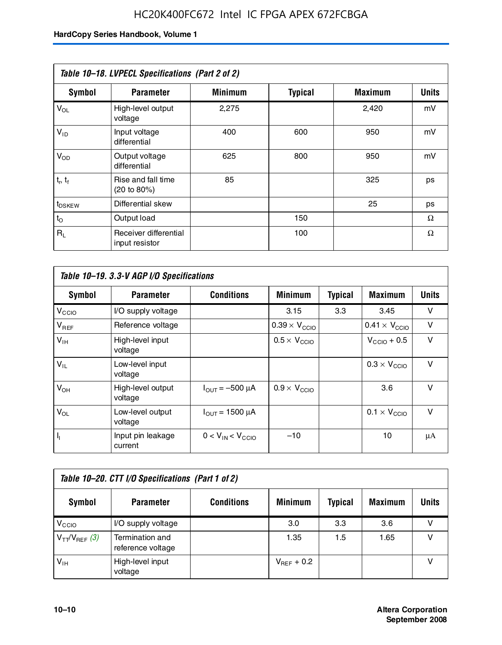# HC20K400FC672 Intel IC FPGA APEX 672FCBGA

|                    | Table 10-18. LVPECL Specifications (Part 2 of 2) |                |                |                |              |
|--------------------|--------------------------------------------------|----------------|----------------|----------------|--------------|
| Symbol             | <b>Parameter</b>                                 | <b>Minimum</b> | <b>Typical</b> | <b>Maximum</b> | <b>Units</b> |
| $V_{OL}$           | High-level output<br>voltage                     | 2,275          |                | 2,420          | mV           |
| $V_{ID}$           | Input voltage<br>differential                    | 400            | 600            | 950            | mV           |
| $V_{OD}$           | Output voltage<br>differential                   | 625            | 800            | 950            | mV           |
| $t_r$ , $t_f$      | Rise and fall time<br>(20 to 80%)                | 85             |                | 325            | ps           |
| t <sub>DSKEW</sub> | Differential skew                                |                |                | 25             | ps           |
| $t_{\rm O}$        | Output load                                      |                | 150            |                | Ω            |
| $R_{\rm L}$        | Receiver differential<br>input resistor          |                | 100            |                | Ω            |

| Table 10–19. 3.3-V AGP I/O Specifications |                              |                               |                               |                |                               |              |
|-------------------------------------------|------------------------------|-------------------------------|-------------------------------|----------------|-------------------------------|--------------|
| Symbol                                    | <b>Parameter</b>             | <b>Conditions</b>             | <b>Minimum</b>                | <b>Typical</b> | <b>Maximum</b>                | <b>Units</b> |
| V <sub>CCIO</sub>                         | I/O supply voltage           |                               | 3.15                          | 3.3            | 3.45                          | v            |
| $V_{REF}$                                 | Reference voltage            |                               | $0.39 \times V_{\text{CCIO}}$ |                | $0.41 \times V_{\text{CCIO}}$ | v            |
| $V_{\text{IH}}$                           | High-level input<br>voltage  |                               | $0.5 \times V_{\text{CCIO}}$  |                | $V_{CClO}$ + 0.5              | v            |
| $V_{IL}$                                  | Low-level input<br>voltage   |                               |                               |                | $0.3 \times V_{\text{CCIO}}$  | $\vee$       |
| $V_{OH}$                                  | High-level output<br>voltage | $I_{\text{OUT}} = -500 \mu A$ | $0.9 \times V_{\text{CCIO}}$  |                | 3.6                           | $\vee$       |
| $V_{OL}$                                  | Low-level output<br>voltage  | $I_{OUT}$ = 1500 µA           |                               |                | $0.1 \times V_{\text{CCIO}}$  | $\vee$       |
| $I_1$                                     | Input pin leakage<br>current | $0 < V_{IN} < V_{CCIO}$       | $-10$                         |                | 10                            | μA           |

| Table 10–20. CTT I/O Specifications (Part 1 of 2) |                                      |                   |                 |                |                |       |  |
|---------------------------------------------------|--------------------------------------|-------------------|-----------------|----------------|----------------|-------|--|
| <b>Symbol</b>                                     | <b>Parameter</b>                     | <b>Conditions</b> | <b>Minimum</b>  | <b>Typical</b> | <b>Maximum</b> | Units |  |
| V <sub>CIO</sub>                                  | I/O supply voltage                   |                   | 3.0             | 3.3            | 3.6            |       |  |
| $V_{TT}/V_{REF}$ (3)                              | Termination and<br>reference voltage |                   | 1.35            | 1.5            | 1.65           |       |  |
| $V_{IH}$                                          | High-level input<br>voltage          |                   | $V_{BFF}$ + 0.2 |                |                |       |  |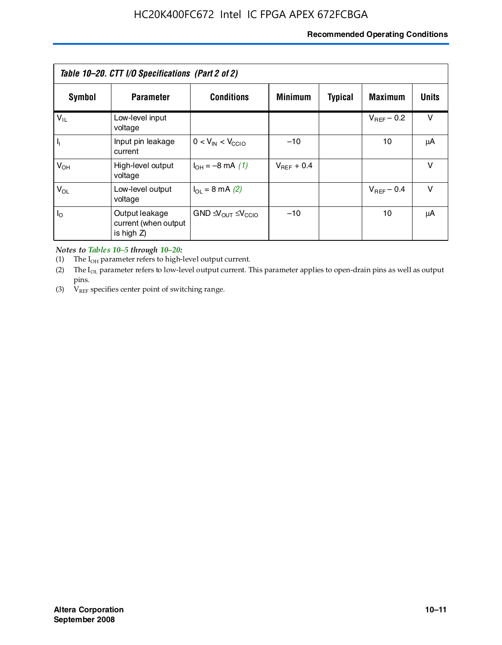# **Recommended Operating Conditions**

| Table 10–20. CTT I/O Specifications (Part 2 of 2) |                                                      |                                                         |                 |                |                 |        |  |
|---------------------------------------------------|------------------------------------------------------|---------------------------------------------------------|-----------------|----------------|-----------------|--------|--|
| Symbol                                            | <b>Parameter</b>                                     | <b>Conditions</b>                                       | <b>Minimum</b>  | <b>Typical</b> | <b>Maximum</b>  | Units  |  |
| $V_{IL}$                                          | Low-level input<br>voltage                           |                                                         |                 |                | $V_{BFF}$ – 0.2 | $\vee$ |  |
| H,                                                | Input pin leakage<br>current                         | $0 < V_{IN} < V_{CC10}$                                 | $-10$           |                | 10              | μA     |  |
| $V_{OH}$                                          | High-level output<br>voltage                         | $I_{OH} = -8 \text{ mA} (1)$                            | $V_{BFF}$ + 0.4 |                |                 | $\vee$ |  |
| $V_{OL}$                                          | Low-level output<br>voltage                          | $I_{\Omega} = 8 \text{ mA} (2)$                         |                 |                | $V_{BFF}$ – 0.4 | $\vee$ |  |
| $I_{\odot}$                                       | Output leakage<br>current (when output<br>is high Z) | GND $\triangleleft V_{\text{OUT}} \leq V_{\text{CCIO}}$ | $-10$           |                | 10              | μA     |  |

*Notes to Tables 10–5 through 10–20:*

(1) The  $I_{OH}$  parameter refers to high-level output current.

(2) The  $I_{OL}$  parameter refers to low-level output current. This parameter applies to open-drain pins as well as output pins.

(3)  $V_{REF}$  specifies center point of switching range.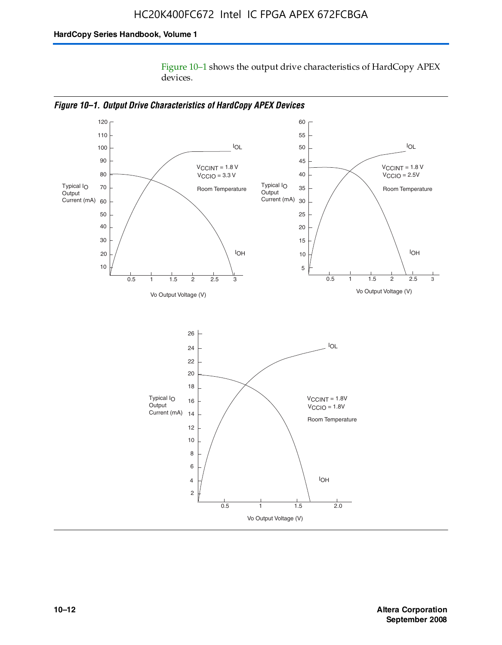Figure 10–1 shows the output drive characteristics of HardCopy APEX devices.



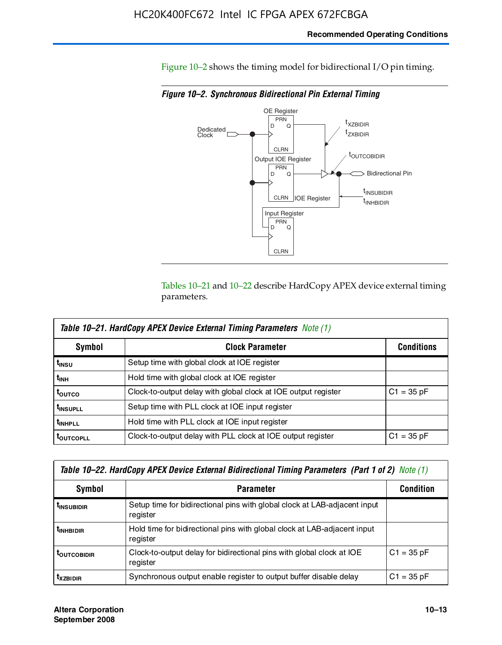Figure 10–2 shows the timing model for bidirectional I/O pin timing.

*Figure 10–2. Synchronous Bidirectional Pin External Timing*



Tables 10–21 and 10–22 describe HardCopy APEX device external timing parameters.

| <b>Table 10–21. HardCopy APEX Device External Timing Parameters Note (1)</b> |                                                                |                   |  |  |  |  |
|------------------------------------------------------------------------------|----------------------------------------------------------------|-------------------|--|--|--|--|
| Symbol                                                                       | <b>Clock Parameter</b>                                         | <b>Conditions</b> |  |  |  |  |
| t <sub>insu</sub>                                                            | Setup time with global clock at IOE register                   |                   |  |  |  |  |
| t <sub>інн</sub>                                                             | Hold time with global clock at IOE register                    |                   |  |  |  |  |
| ι <sub>ουτςο</sub>                                                           | Clock-to-output delay with global clock at IOE output register | $C1 = 35 pF$      |  |  |  |  |
| <b>t</b> INSUPLL                                                             | Setup time with PLL clock at IOE input register                |                   |  |  |  |  |
| <b>t</b> INHPLL                                                              | Hold time with PLL clock at IOE input register                 |                   |  |  |  |  |
| <b>TOUTCOPLL</b>                                                             | Clock-to-output delay with PLL clock at IOE output register    | $C1 = 35 pF$      |  |  |  |  |

| Table 10–22. HardCopy APEX Device External Bidirectional Timing Parameters (Part 1 of 2) Note (1) |                                                                                       |              |  |  |  |  |
|---------------------------------------------------------------------------------------------------|---------------------------------------------------------------------------------------|--------------|--|--|--|--|
| Symbol                                                                                            | <b>Condition</b>                                                                      |              |  |  |  |  |
| <b><i>L</i>INSUBIDIR</b>                                                                          | Setup time for bidirectional pins with global clock at LAB-adjacent input<br>register |              |  |  |  |  |
| <b>TINHBIDIR</b>                                                                                  | Hold time for bidirectional pins with global clock at LAB-adjacent input<br>register  |              |  |  |  |  |
| <b>LOUTCOBIDIR</b>                                                                                | Clock-to-output delay for bidirectional pins with global clock at IOE<br>register     | $C1 = 35 pF$ |  |  |  |  |
| <b>T</b> xzbidir                                                                                  | Synchronous output enable register to output buffer disable delay                     | $C1 = 35 pF$ |  |  |  |  |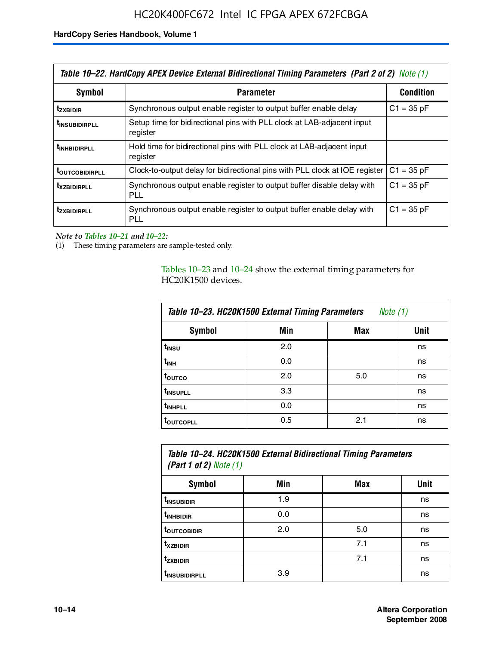| Table 10–22. HardCopy APEX Device External Bidirectional Timing Parameters (Part 2 of 2) Note (1) |                                                                                    |              |  |  |  |
|---------------------------------------------------------------------------------------------------|------------------------------------------------------------------------------------|--------------|--|--|--|
| Symbol                                                                                            | <b>Parameter</b>                                                                   |              |  |  |  |
| <b>t</b> zxbidir                                                                                  | Synchronous output enable register to output buffer enable delay                   | $C1 = 35 pF$ |  |  |  |
| <b>t</b> insubidirpll                                                                             | Setup time for bidirectional pins with PLL clock at LAB-adjacent input<br>register |              |  |  |  |
| <b><i>LINHBIDIRPLL</i></b>                                                                        | Hold time for bidirectional pins with PLL clock at LAB-adjacent input<br>register  |              |  |  |  |
| <b>TOUTCOBIDIRPLL</b>                                                                             | Clock-to-output delay for bidirectional pins with PLL clock at IOE register        | $C1 = 35 pF$ |  |  |  |
| <i><b>T</b> x z BIDIRPLL</i>                                                                      | Synchronous output enable register to output buffer disable delay with<br>PLL      | $C1 = 35 pF$ |  |  |  |
| <b>tzxbidirpll</b>                                                                                | Synchronous output enable register to output buffer enable delay with<br>PLI.      | $C1 = 35 pF$ |  |  |  |

*Note to Tables 10–21 and 10–22:*

(1) These timing parameters are sample-tested only.

Tables 10–23 and 10–24 show the external timing parameters for HC20K1500 devices.

| Table 10-23. HC20K1500 External Timing Parameters<br>Note (1) |     |     |      |
|---------------------------------------------------------------|-----|-----|------|
| <b>Symbol</b>                                                 | Min | Max | Unit |
| t <sub>INSU</sub>                                             | 2.0 |     | ns   |
| $t_{\sf INH}$                                                 | 0.0 |     | ns   |
| t <sub>outco</sub>                                            | 2.0 | 5.0 | ns   |
| t <sub>INSUPLL</sub>                                          | 3.3 |     | ns   |
| t <sub>INHPLL</sub>                                           | 0.0 |     | ns   |
| <b>toutcopll</b>                                              | 0.5 | 2.1 | ns   |

| Table 10–24. HC20K1500 External Bidirectional Timing Parameters<br>(Part 1 of 2) Note $(1)$ |     |     |      |
|---------------------------------------------------------------------------------------------|-----|-----|------|
| <b>Symbol</b>                                                                               | Min | Max | Unit |
| t <sub>insubidir</sub>                                                                      | 1.9 |     | ns   |
| t <sub>inhBidir</sub>                                                                       | 0.0 |     | ns   |

**t**<sub>outcobidir 1 2.0 1 5.0 ns</sub> **tXZBIDIR** 7.1 ns **t<sub>zxbidir</sub>** https://www.flood.com/distance/community/community/community/community/community/community/community/ t<sub>INSUBIDIRPLL</sub> 3.9 and 3.9 ns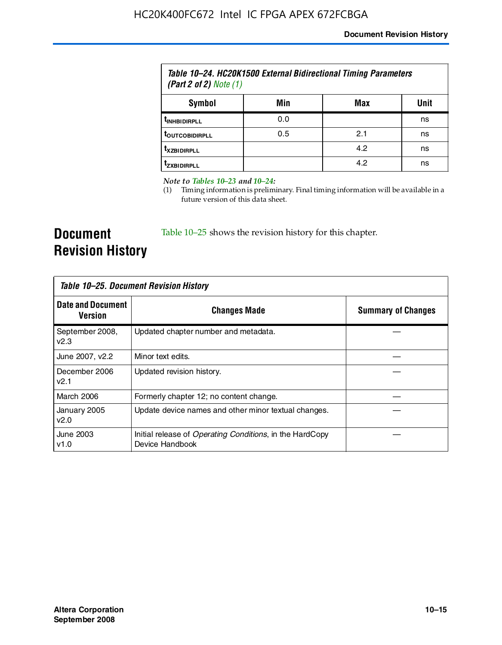| Table 10–24. HC20K1500 External Bidirectional Timing Parameters<br>(Part 2 of 2) Note $(1)$ |     |     |      |
|---------------------------------------------------------------------------------------------|-----|-----|------|
| Symbol                                                                                      | Min | Max | Unit |
| <b><i>UNHBIDIRPLL</i></b>                                                                   | 0.0 |     | ns   |
| <b><i>LOUTCOBIDIRPLL</i></b>                                                                | 0.5 | 2.1 | ns   |
| <b>TXZBIDIRPLL</b>                                                                          |     | 4.2 | ns   |
| <sup>T</sup> ZXBIDIRPLL                                                                     |     | 4.2 | ns   |

*Note to Tables 10–23 and 10–24:*

(1) Timing information is preliminary. Final timing information will be available in a future version of this data sheet.

**Document Revision History**

Table 10–25 shows the revision history for this chapter.

| Table 10–25. Document Revision History     |                                                                                     |                           |  |
|--------------------------------------------|-------------------------------------------------------------------------------------|---------------------------|--|
| <b>Date and Document</b><br><b>Version</b> | <b>Changes Made</b>                                                                 | <b>Summary of Changes</b> |  |
| September 2008,<br>v2.3                    | Updated chapter number and metadata.                                                |                           |  |
| June 2007, v2.2                            | Minor text edits.                                                                   |                           |  |
| December 2006<br>v2.1                      | Updated revision history.                                                           |                           |  |
| March 2006                                 | Formerly chapter 12; no content change.                                             |                           |  |
| January 2005<br>v2.0                       | Update device names and other minor textual changes.                                |                           |  |
| June 2003<br>v1.0                          | Initial release of <i>Operating Conditions</i> , in the HardCopy<br>Device Handbook |                           |  |